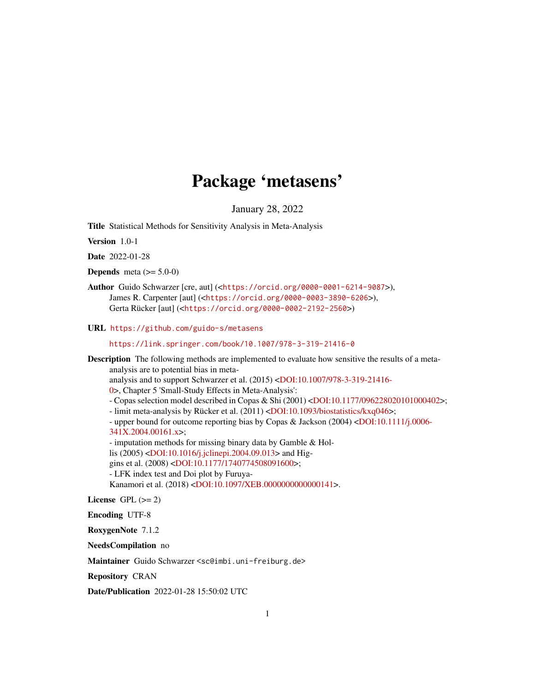# Package 'metasens'

January 28, 2022

<span id="page-0-0"></span>Title Statistical Methods for Sensitivity Analysis in Meta-Analysis

Version 1.0-1

Date 2022-01-28

**Depends** meta  $(>= 5.0-0)$ 

Author Guido Schwarzer [cre, aut] (<<https://orcid.org/0000-0001-6214-9087>>), James R. Carpenter [aut] (<<https://orcid.org/0000-0003-3890-6206>>), Gerta Rücker [aut] (<<https://orcid.org/0000-0002-2192-2560>>)

URL <https://github.com/guido-s/metasens>

<https://link.springer.com/book/10.1007/978-3-319-21416-0>

Description The following methods are implemented to evaluate how sensitive the results of a metaanalysis are to potential bias in metaanalysis and to support Schwarzer et al. (2015) [<DOI:10.1007/978-3-319-21416-](https://doi.org/10.1007/978-3-319-21416-0) [0>](https://doi.org/10.1007/978-3-319-21416-0), Chapter 5 'Small-Study Effects in Meta-Analysis': - Copas selection model described in Copas & Shi (2001) [<DOI:10.1177/096228020101000402>](https://doi.org/10.1177/096228020101000402); - limit meta-analysis by Rücker et al. (2011) [<DOI:10.1093/biostatistics/kxq046>](https://doi.org/10.1093/biostatistics/kxq046); - upper bound for outcome reporting bias by Copas & Jackson (2004) [<DOI:10.1111/j.0006-](https://doi.org/10.1111/j.0006-341X.2004.00161.x) [341X.2004.00161.x>](https://doi.org/10.1111/j.0006-341X.2004.00161.x); - imputation methods for missing binary data by Gamble & Hollis (2005) [<DOI:10.1016/j.jclinepi.2004.09.013>](https://doi.org/10.1016/j.jclinepi.2004.09.013) and Higgins et al. (2008) [<DOI:10.1177/1740774508091600>](https://doi.org/10.1177/1740774508091600); - LFK index test and Doi plot by Furuya-Kanamori et al. (2018) [<DOI:10.1097/XEB.0000000000000141>](https://doi.org/10.1097/XEB.0000000000000141).

License GPL  $(>= 2)$ 

Encoding UTF-8

RoxygenNote 7.1.2

NeedsCompilation no

Maintainer Guido Schwarzer <sc@imbi.uni-freiburg.de>

Repository CRAN

Date/Publication 2022-01-28 15:50:02 UTC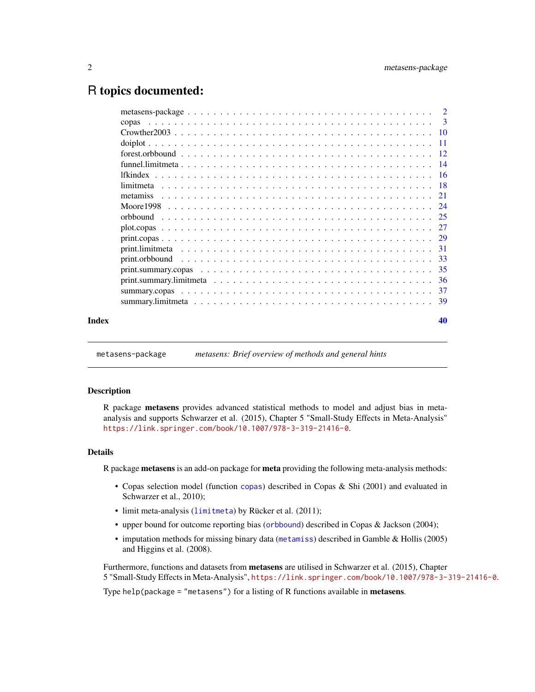# <span id="page-1-0"></span>R topics documented:

|       | copas           |
|-------|-----------------|
|       |                 |
|       |                 |
|       |                 |
|       |                 |
|       | <i>lfkindex</i> |
|       |                 |
|       | metamiss        |
|       |                 |
|       |                 |
|       |                 |
|       |                 |
|       |                 |
|       |                 |
|       |                 |
|       |                 |
|       |                 |
|       |                 |
|       |                 |
| Index | 40              |
|       |                 |

metasens-package *metasens: Brief overview of methods and general hints*

#### Description

R package metasens provides advanced statistical methods to model and adjust bias in metaanalysis and supports Schwarzer et al. (2015), Chapter 5 "Small-Study Effects in Meta-Analysis" <https://link.springer.com/book/10.1007/978-3-319-21416-0>.

# Details

R package metasens is an add-on package for meta providing the following meta-analysis methods:

- Copas selection model (function [copas](#page-2-1)) described in Copas & Shi (2001) and evaluated in Schwarzer et al., 2010);
- limit meta-analysis ([limitmeta](#page-17-1)) by Rücker et al. (2011);
- upper bound for outcome reporting bias ([orbbound](#page-24-1)) described in Copas & Jackson (2004);
- imputation methods for missing binary data ([metamiss](#page-20-1)) described in Gamble & Hollis (2005) and Higgins et al. (2008).

Furthermore, functions and datasets from metasens are utilised in Schwarzer et al. (2015), Chapter 5 "Small-Study Effects in Meta-Analysis", <https://link.springer.com/book/10.1007/978-3-319-21416-0>.

Type help(package = "metasens") for a listing of R functions available in **metasens**.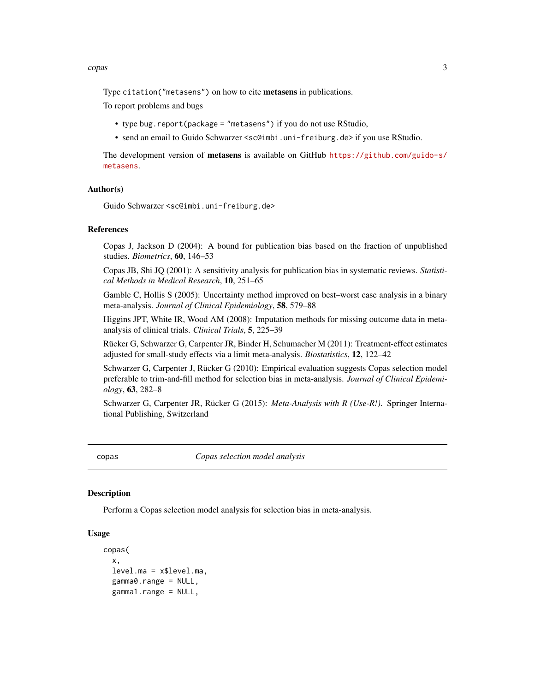#### <span id="page-2-0"></span>copas 3

Type citation("metasens") on how to cite **metasens** in publications.

To report problems and bugs

- type bug.report(package = "metasens") if you do not use RStudio,
- send an email to Guido Schwarzer <sc@imbi.uni-freiburg.de> if you use RStudio.

The development version of metasens is available on GitHub [https://github.com/guido-s/](https://github.com/guido-s/metasens) [metasens](https://github.com/guido-s/metasens).

#### Author(s)

```
Guido Schwarzer <sc@imbi.uni-freiburg.de>
```
#### References

Copas J, Jackson D (2004): A bound for publication bias based on the fraction of unpublished studies. *Biometrics*, 60, 146–53

Copas JB, Shi JQ (2001): A sensitivity analysis for publication bias in systematic reviews. *Statistical Methods in Medical Research*, 10, 251–65

Gamble C, Hollis S (2005): Uncertainty method improved on best–worst case analysis in a binary meta-analysis. *Journal of Clinical Epidemiology*, 58, 579–88

Higgins JPT, White IR, Wood AM (2008): Imputation methods for missing outcome data in metaanalysis of clinical trials. *Clinical Trials*, 5, 225–39

Rücker G, Schwarzer G, Carpenter JR, Binder H, Schumacher M (2011): Treatment-effect estimates adjusted for small-study effects via a limit meta-analysis. *Biostatistics*, 12, 122–42

Schwarzer G, Carpenter J, Rücker G (2010): Empirical evaluation suggests Copas selection model preferable to trim-and-fill method for selection bias in meta-analysis. *Journal of Clinical Epidemiology*, 63, 282–8

Schwarzer G, Carpenter JR, Rücker G (2015): *Meta-Analysis with R (Use-R!)*. Springer International Publishing, Switzerland

<span id="page-2-1"></span>copas *Copas selection model analysis*

#### **Description**

Perform a Copas selection model analysis for selection bias in meta-analysis.

#### Usage

```
copas(
  x,
  level.ma = x$level.ma,
  gamma0.range = NULL,
  gamma1.range = NULL,
```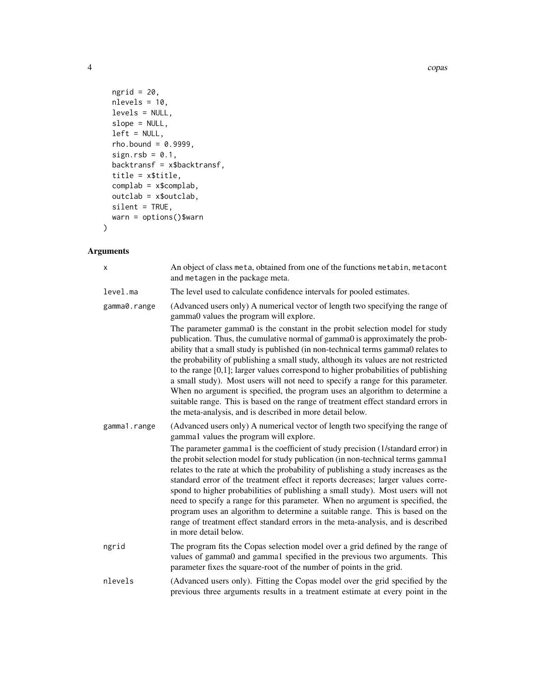```
ngrid = 20,
 nlevels = 10,
 levels = NULL,
 slope = NULL,
 left = NULL,rho.bound = 0.9999,sign.rsb = 0.1,backtransf = x$backtransf,
 title = x$title,
 complab = x$complab,
 outclab = x$outclab,
 silent = TRUE,
 warn = options()$warn
)
```
# Arguments

| X            | An object of class meta, obtained from one of the functions metabin, metacont<br>and metagen in the package meta.                                                                                                                                                                                                                                                                                                                                                                                                                                                                                                                                                                                                                                                                                                                               |
|--------------|-------------------------------------------------------------------------------------------------------------------------------------------------------------------------------------------------------------------------------------------------------------------------------------------------------------------------------------------------------------------------------------------------------------------------------------------------------------------------------------------------------------------------------------------------------------------------------------------------------------------------------------------------------------------------------------------------------------------------------------------------------------------------------------------------------------------------------------------------|
| level.ma     | The level used to calculate confidence intervals for pooled estimates.                                                                                                                                                                                                                                                                                                                                                                                                                                                                                                                                                                                                                                                                                                                                                                          |
| gamma0.range | (Advanced users only) A numerical vector of length two specifying the range of<br>gamma0 values the program will explore.                                                                                                                                                                                                                                                                                                                                                                                                                                                                                                                                                                                                                                                                                                                       |
|              | The parameter gamma0 is the constant in the probit selection model for study<br>publication. Thus, the cumulative normal of gamma0 is approximately the prob-<br>ability that a small study is published (in non-technical terms gamma0 relates to<br>the probability of publishing a small study, although its values are not restricted<br>to the range $[0,1]$ ; larger values correspond to higher probabilities of publishing<br>a small study). Most users will not need to specify a range for this parameter.<br>When no argument is specified, the program uses an algorithm to determine a<br>suitable range. This is based on the range of treatment effect standard errors in<br>the meta-analysis, and is described in more detail below.                                                                                          |
| gamma1.range | (Advanced users only) A numerical vector of length two specifying the range of<br>gamma1 values the program will explore.<br>The parameter gamma1 is the coefficient of study precision (1/standard error) in<br>the probit selection model for study publication (in non-technical terms gamma1<br>relates to the rate at which the probability of publishing a study increases as the<br>standard error of the treatment effect it reports decreases; larger values corre-<br>spond to higher probabilities of publishing a small study). Most users will not<br>need to specify a range for this parameter. When no argument is specified, the<br>program uses an algorithm to determine a suitable range. This is based on the<br>range of treatment effect standard errors in the meta-analysis, and is described<br>in more detail below. |
| ngrid        | The program fits the Copas selection model over a grid defined by the range of<br>values of gamma0 and gamma1 specified in the previous two arguments. This<br>parameter fixes the square-root of the number of points in the grid.                                                                                                                                                                                                                                                                                                                                                                                                                                                                                                                                                                                                             |
| nlevels      | (Advanced users only). Fitting the Copas model over the grid specified by the<br>previous three arguments results in a treatment estimate at every point in the                                                                                                                                                                                                                                                                                                                                                                                                                                                                                                                                                                                                                                                                                 |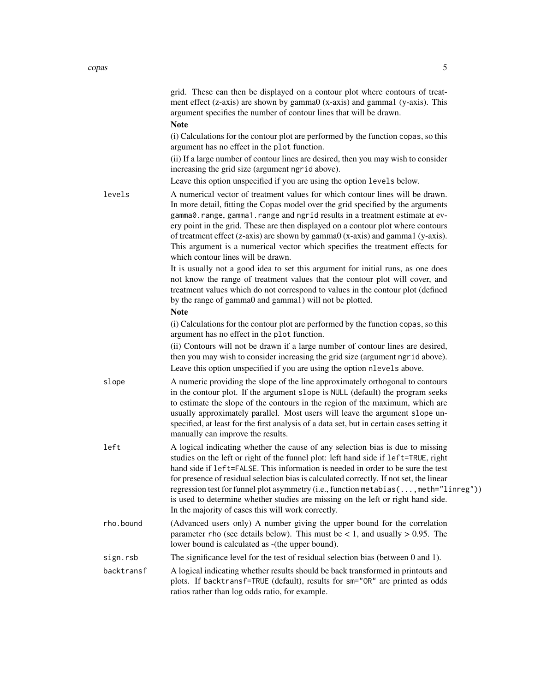|            | grid. These can then be displayed on a contour plot where contours of treat-<br>ment effect (z-axis) are shown by gamma0 (x-axis) and gamma1 (y-axis). This<br>argument specifies the number of contour lines that will be drawn.<br><b>Note</b>                                                                                                                                                                                                                                                                                                                                       |
|------------|----------------------------------------------------------------------------------------------------------------------------------------------------------------------------------------------------------------------------------------------------------------------------------------------------------------------------------------------------------------------------------------------------------------------------------------------------------------------------------------------------------------------------------------------------------------------------------------|
|            | (i) Calculations for the contour plot are performed by the function copas, so this<br>argument has no effect in the plot function.                                                                                                                                                                                                                                                                                                                                                                                                                                                     |
|            | (ii) If a large number of contour lines are desired, then you may wish to consider<br>increasing the grid size (argument ngrid above).                                                                                                                                                                                                                                                                                                                                                                                                                                                 |
|            | Leave this option unspecified if you are using the option levels below.                                                                                                                                                                                                                                                                                                                                                                                                                                                                                                                |
| levels     | A numerical vector of treatment values for which contour lines will be drawn.<br>In more detail, fitting the Copas model over the grid specified by the arguments<br>gamma0.range, gamma1.range and ngrid results in a treatment estimate at ev-<br>ery point in the grid. These are then displayed on a contour plot where contours<br>of treatment effect (z-axis) are shown by gamma0 (x-axis) and gamma1 (y-axis).<br>This argument is a numerical vector which specifies the treatment effects for<br>which contour lines will be drawn.                                          |
|            | It is usually not a good idea to set this argument for initial runs, as one does<br>not know the range of treatment values that the contour plot will cover, and<br>treatment values which do not correspond to values in the contour plot (defined<br>by the range of gamma0 and gamma1) will not be plotted.                                                                                                                                                                                                                                                                         |
|            | <b>Note</b>                                                                                                                                                                                                                                                                                                                                                                                                                                                                                                                                                                            |
|            | (i) Calculations for the contour plot are performed by the function copas, so this<br>argument has no effect in the plot function.                                                                                                                                                                                                                                                                                                                                                                                                                                                     |
|            | (ii) Contours will not be drawn if a large number of contour lines are desired,<br>then you may wish to consider increasing the grid size (argument ngrid above).                                                                                                                                                                                                                                                                                                                                                                                                                      |
|            | Leave this option unspecified if you are using the option nlevels above.                                                                                                                                                                                                                                                                                                                                                                                                                                                                                                               |
| slope      | A numeric providing the slope of the line approximately orthogonal to contours<br>in the contour plot. If the argument slope is NULL (default) the program seeks<br>to estimate the slope of the contours in the region of the maximum, which are<br>usually approximately parallel. Most users will leave the argument slope un-<br>specified, at least for the first analysis of a data set, but in certain cases setting it<br>manually can improve the results.                                                                                                                    |
| left       | A logical indicating whether the cause of any selection bias is due to missing<br>studies on the left or right of the funnel plot: left hand side if left=TRUE, right<br>hand side if left=FALSE. This information is needed in order to be sure the test<br>for presence of residual selection bias is calculated correctly. If not set, the linear<br>regression test for funnel plot asymmetry (i.e., function metabias(, meth="linreg"))<br>is used to determine whether studies are missing on the left or right hand side.<br>In the majority of cases this will work correctly. |
| rho.bound  | (Advanced users only) A number giving the upper bound for the correlation<br>parameter rho (see details below). This must be $< 1$ , and usually $> 0.95$ . The<br>lower bound is calculated as - (the upper bound).                                                                                                                                                                                                                                                                                                                                                                   |
| sign.rsb   | The significance level for the test of residual selection bias (between 0 and 1).                                                                                                                                                                                                                                                                                                                                                                                                                                                                                                      |
| backtransf | A logical indicating whether results should be back transformed in printouts and<br>plots. If backtransf=TRUE (default), results for sm="OR" are printed as odds<br>ratios rather than log odds ratio, for example.                                                                                                                                                                                                                                                                                                                                                                    |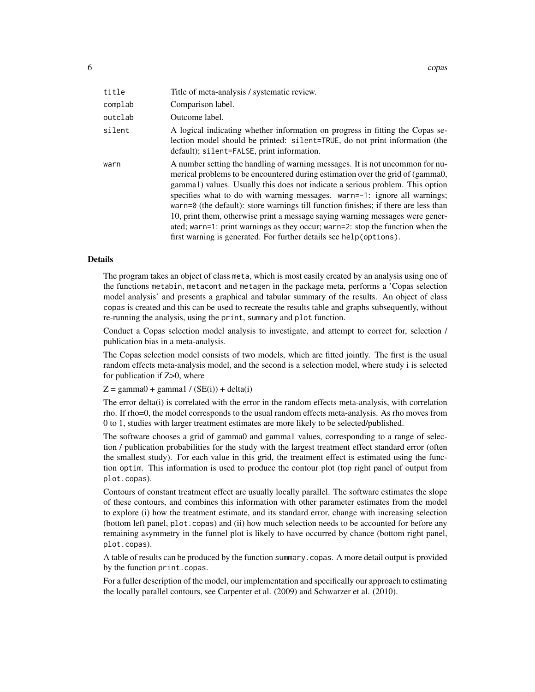| title   | Title of meta-analysis / systematic review.                                                                                                                                                                                                                                                                                                                                                                                                                                                                                                                                                                                                                           |
|---------|-----------------------------------------------------------------------------------------------------------------------------------------------------------------------------------------------------------------------------------------------------------------------------------------------------------------------------------------------------------------------------------------------------------------------------------------------------------------------------------------------------------------------------------------------------------------------------------------------------------------------------------------------------------------------|
| complab | Comparison label.                                                                                                                                                                                                                                                                                                                                                                                                                                                                                                                                                                                                                                                     |
| outclab | Outcome label.                                                                                                                                                                                                                                                                                                                                                                                                                                                                                                                                                                                                                                                        |
| silent  | A logical indicating whether information on progress in fitting the Copas se-<br>lection model should be printed: silent=TRUE, do not print information (the<br>default); silent=FALSE, print information.                                                                                                                                                                                                                                                                                                                                                                                                                                                            |
| warn    | A number setting the handling of warning messages. It is not uncommon for nu-<br>merical problems to be encountered during estimation over the grid of (gamma0,<br>gamma1) values. Usually this does not indicate a serious problem. This option<br>specifies what to do with warning messages. warn=-1: ignore all warnings;<br>warn= $\theta$ (the default): store warnings till function finishes; if there are less than<br>10, print them, otherwise print a message saying warning messages were gener-<br>ated; warn=1: print warnings as they occur; warn=2: stop the function when the<br>first warning is generated. For further details see help(options). |

#### Details

The program takes an object of class meta, which is most easily created by an analysis using one of the functions metabin, metacont and metagen in the package meta, performs a 'Copas selection model analysis' and presents a graphical and tabular summary of the results. An object of class copas is created and this can be used to recreate the results table and graphs subsequently, without re-running the analysis, using the print, summary and plot function.

Conduct a Copas selection model analysis to investigate, and attempt to correct for, selection / publication bias in a meta-analysis.

The Copas selection model consists of two models, which are fitted jointly. The first is the usual random effects meta-analysis model, and the second is a selection model, where study i is selected for publication if Z>0, where

 $Z = \text{gamma} + \text{gamma} / (SE(i)) + delta(i)$ 

The error delta(i) is correlated with the error in the random effects meta-analysis, with correlation rho. If rho=0, the model corresponds to the usual random effects meta-analysis. As rho moves from 0 to 1, studies with larger treatment estimates are more likely to be selected/published.

The software chooses a grid of gamma0 and gamma1 values, corresponding to a range of selection / publication probabilities for the study with the largest treatment effect standard error (often the smallest study). For each value in this grid, the treatment effect is estimated using the function optim. This information is used to produce the contour plot (top right panel of output from plot.copas).

Contours of constant treatment effect are usually locally parallel. The software estimates the slope of these contours, and combines this information with other parameter estimates from the model to explore (i) how the treatment estimate, and its standard error, change with increasing selection (bottom left panel, plot.copas) and (ii) how much selection needs to be accounted for before any remaining asymmetry in the funnel plot is likely to have occurred by chance (bottom right panel, plot.copas).

A table of results can be produced by the function summary.copas. A more detail output is provided by the function print.copas.

For a fuller description of the model, our implementation and specifically our approach to estimating the locally parallel contours, see Carpenter et al. (2009) and Schwarzer et al. (2010).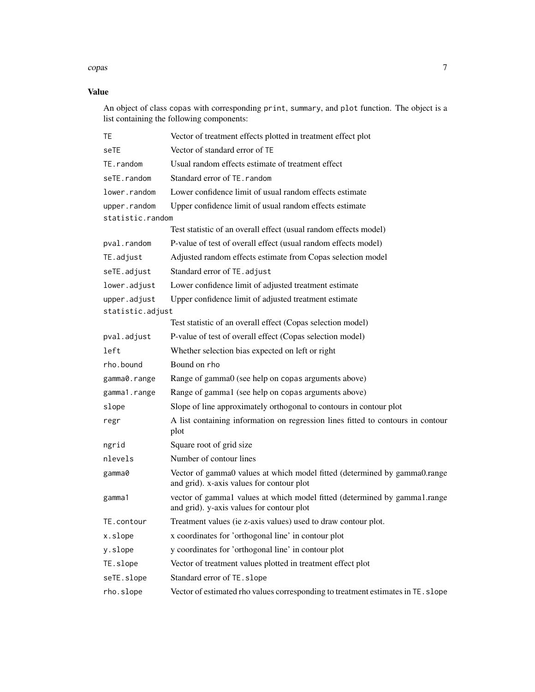#### copas 7 and 2012 12:00 the contract of the contract of the contract of the contract of the contract of the contract of the contract of the contract of the contract of the contract of the contract of the contract of the con

# Value

An object of class copas with corresponding print, summary, and plot function. The object is a list containing the following components:

| ТE               | Vector of treatment effects plotted in treatment effect plot                                                           |
|------------------|------------------------------------------------------------------------------------------------------------------------|
| seTE             | Vector of standard error of TE                                                                                         |
| TE.random        | Usual random effects estimate of treatment effect                                                                      |
| seTE.random      | Standard error of TE. random                                                                                           |
| lower.random     | Lower confidence limit of usual random effects estimate                                                                |
| upper.random     | Upper confidence limit of usual random effects estimate                                                                |
| statistic.random |                                                                                                                        |
|                  | Test statistic of an overall effect (usual random effects model)                                                       |
| pval.random      | P-value of test of overall effect (usual random effects model)                                                         |
| TE.adjust        | Adjusted random effects estimate from Copas selection model                                                            |
| seTE.adjust      | Standard error of TE. adjust                                                                                           |
| lower.adjust     | Lower confidence limit of adjusted treatment estimate                                                                  |
| upper.adjust     | Upper confidence limit of adjusted treatment estimate                                                                  |
| statistic.adjust |                                                                                                                        |
|                  | Test statistic of an overall effect (Copas selection model)                                                            |
| pval.adjust      | P-value of test of overall effect (Copas selection model)                                                              |
| left             | Whether selection bias expected on left or right                                                                       |
| rho.bound        | Bound on rho                                                                                                           |
| gamma0.range     | Range of gamma0 (see help on copas arguments above)                                                                    |
| gamma1.range     | Range of gamma1 (see help on copas arguments above)                                                                    |
| slope            | Slope of line approximately orthogonal to contours in contour plot                                                     |
| regr             | A list containing information on regression lines fitted to contours in contour<br>plot                                |
| ngrid            | Square root of grid size                                                                                               |
| nlevels          | Number of contour lines                                                                                                |
| gamma0           | Vector of gamma0 values at which model fitted (determined by gamma0.range<br>and grid). x-axis values for contour plot |
| gamma1           | vector of gamma1 values at which model fitted (determined by gamma1.range<br>and grid). y-axis values for contour plot |
| TE.contour       | Treatment values (ie z-axis values) used to draw contour plot.                                                         |
| x.slope          | x coordinates for 'orthogonal line' in contour plot                                                                    |
| y.slope          | y coordinates for 'orthogonal line' in contour plot                                                                    |
| TE.slope         | Vector of treatment values plotted in treatment effect plot                                                            |
| seTE.slope       | Standard error of TE. slope                                                                                            |
| rho.slope        | Vector of estimated rho values corresponding to treatment estimates in TE. slope                                       |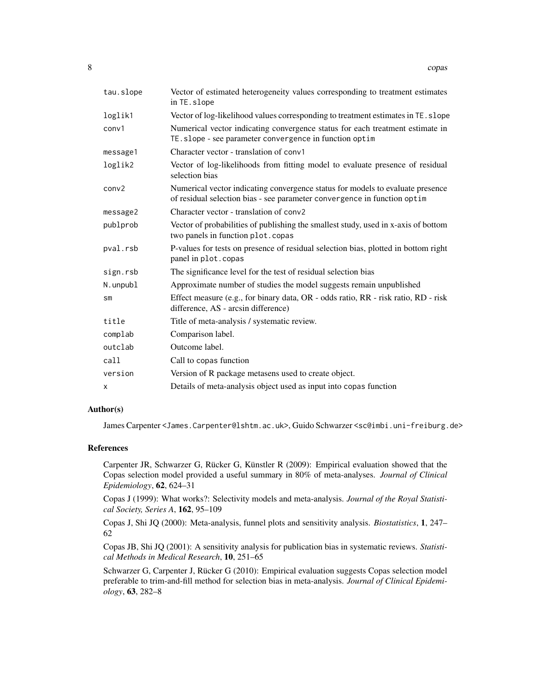| tau.slope     | Vector of estimated heterogeneity values corresponding to treatment estimates<br>in TE.slope                                                               |
|---------------|------------------------------------------------------------------------------------------------------------------------------------------------------------|
| loglik1       | Vector of log-likelihood values corresponding to treatment estimates in TE. slope                                                                          |
| conv1         | Numerical vector indicating convergence status for each treatment estimate in<br>TE.slope - see parameter convergence in function optim                    |
| message1      | Character vector - translation of conv1                                                                                                                    |
| loglik2       | Vector of log-likelihoods from fitting model to evaluate presence of residual<br>selection bias                                                            |
| conv2         | Numerical vector indicating convergence status for models to evaluate presence<br>of residual selection bias - see parameter convergence in function optim |
| message2      | Character vector - translation of conv2                                                                                                                    |
| publprob      | Vector of probabilities of publishing the smallest study, used in x-axis of bottom<br>two panels in function plot.copas                                    |
| pval.rsb      | P-values for tests on presence of residual selection bias, plotted in bottom right<br>panel in plot.copas                                                  |
| sign.rsb      | The significance level for the test of residual selection bias                                                                                             |
| N.unpubl      | Approximate number of studies the model suggests remain unpublished                                                                                        |
| $\mathsf{sm}$ | Effect measure (e.g., for binary data, OR - odds ratio, RR - risk ratio, RD - risk<br>difference, AS - arcsin difference)                                  |
| title         | Title of meta-analysis / systematic review.                                                                                                                |
| complab       | Comparison label.                                                                                                                                          |
| outclab       | Outcome label.                                                                                                                                             |
| call          | Call to copas function                                                                                                                                     |
| version       | Version of R package metasens used to create object.                                                                                                       |
| х             | Details of meta-analysis object used as input into copas function                                                                                          |

# Author(s)

James Carpenter <James.Carpenter@lshtm.ac.uk>, Guido Schwarzer <sc@imbi.uni-freiburg.de>

# References

Carpenter JR, Schwarzer G, Rücker G, Künstler R (2009): Empirical evaluation showed that the Copas selection model provided a useful summary in 80% of meta-analyses. *Journal of Clinical Epidemiology*, 62, 624–31

Copas J (1999): What works?: Selectivity models and meta-analysis. *Journal of the Royal Statistical Society, Series A*, 162, 95–109

Copas J, Shi JQ (2000): Meta-analysis, funnel plots and sensitivity analysis. *Biostatistics*, 1, 247– 62

Copas JB, Shi JQ (2001): A sensitivity analysis for publication bias in systematic reviews. *Statistical Methods in Medical Research*, 10, 251–65

Schwarzer G, Carpenter J, Rücker G (2010): Empirical evaluation suggests Copas selection model preferable to trim-and-fill method for selection bias in meta-analysis. *Journal of Clinical Epidemiology*, 63, 282–8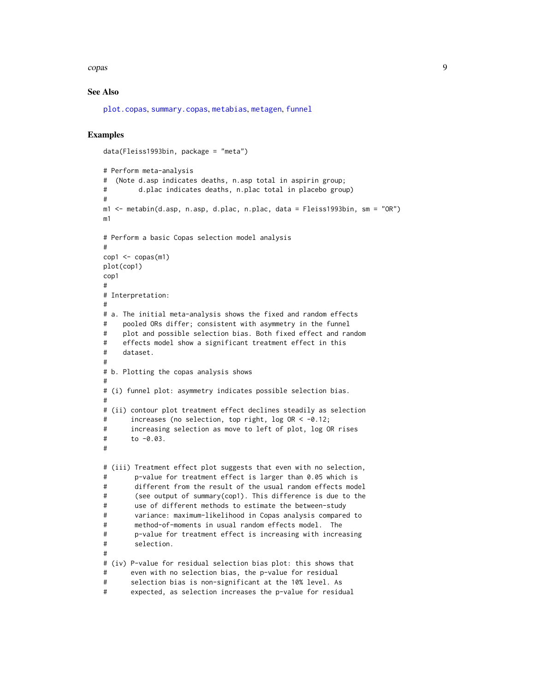#### <span id="page-8-0"></span>copas extensive contract of the contract of the contract of the contract of the contract of the contract of the contract of the contract of the contract of the contract of the contract of the contract of the contract of th

#### See Also

[plot.copas](#page-26-1), [summary.copas](#page-36-1), [metabias](#page-0-0), [metagen](#page-0-0), [funnel](#page-0-0)

# Examples

data(Fleiss1993bin, package = "meta")

```
# Perform meta-analysis
# (Note d.asp indicates deaths, n.asp total in aspirin group;
# d.plac indicates deaths, n.plac total in placebo group)
#
m1 <- metabin(d.asp, n.asp, d.plac, n.plac, data = Fleiss1993bin, sm = "OR")
m1
# Perform a basic Copas selection model analysis
#
cop1 \leq -copas(m1)plot(cop1)
cop1
#
# Interpretation:
#
# a. The initial meta-analysis shows the fixed and random effects
# pooled ORs differ; consistent with asymmetry in the funnel
# plot and possible selection bias. Both fixed effect and random
# effects model show a significant treatment effect in this
# dataset.
#
# b. Plotting the copas analysis shows
#
# (i) funnel plot: asymmetry indicates possible selection bias.
#
# (ii) contour plot treatment effect declines steadily as selection
# increases (no selection, top right, log OR < -0.12;
# increasing selection as move to left of plot, log OR rises
# to -0.03.
#
# (iii) Treatment effect plot suggests that even with no selection,
# p-value for treatment effect is larger than 0.05 which is
# different from the result of the usual random effects model
# (see output of summary(cop1). This difference is due to the
# use of different methods to estimate the between-study
# variance: maximum-likelihood in Copas analysis compared to
# method-of-moments in usual random effects model. The
# p-value for treatment effect is increasing with increasing
# selection.
#
# (iv) P-value for residual selection bias plot: this shows that
# even with no selection bias, the p-value for residual
# selection bias is non-significant at the 10% level. As
# expected, as selection increases the p-value for residual
```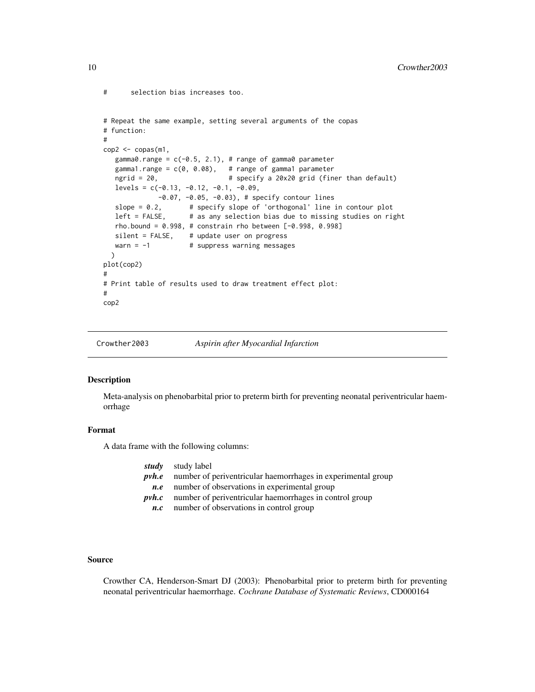```
# selection bias increases too.
```

```
# Repeat the same example, setting several arguments of the copas
# function:
#
\text{cop2} < -\text{copas}(\text{m1},gamma0.range = c(-0.5, 2.1), # range of gamma0 parameter
  gamma1.range = c(\theta, \theta.08), # range of gamma1 parameter
  ngrid = 20, <br> # specify a 20x20 grid (finer than default)
  levels = c(-0.13, -0.12, -0.1, -0.09,-0.07, -0.05, -0.03), # specify contour lines
  slope = 0.2, \# specify slope of 'orthogonal' line in contour plot
  left = FALSE, # as any selection bias due to missing studies on right
  rho.bound = 0.998, # constrain rho between [-0.998, 0.998]
  silent = FALSE, # update user on progress
  warn = -1 \# suppress warning messages
 \lambdaplot(cop2)
#
# Print table of results used to draw treatment effect plot:
#
cop2
```
Crowther2003 *Aspirin after Myocardial Infarction*

#### Description

Meta-analysis on phenobarbital prior to preterm birth for preventing neonatal periventricular haemorrhage

# Format

A data frame with the following columns:

| <i>study</i> study label                                                  |
|---------------------------------------------------------------------------|
| <i>pvh.e</i> number of periventricular haemorrhages in experimental group |
| number of observations in experimental group                              |
| $\n  pvh.c\n  number of periventricular haemorphages in control group\n$  |
| number of observations in control group                                   |
|                                                                           |

#### Source

Crowther CA, Henderson-Smart DJ (2003): Phenobarbital prior to preterm birth for preventing neonatal periventricular haemorrhage. *Cochrane Database of Systematic Reviews*, CD000164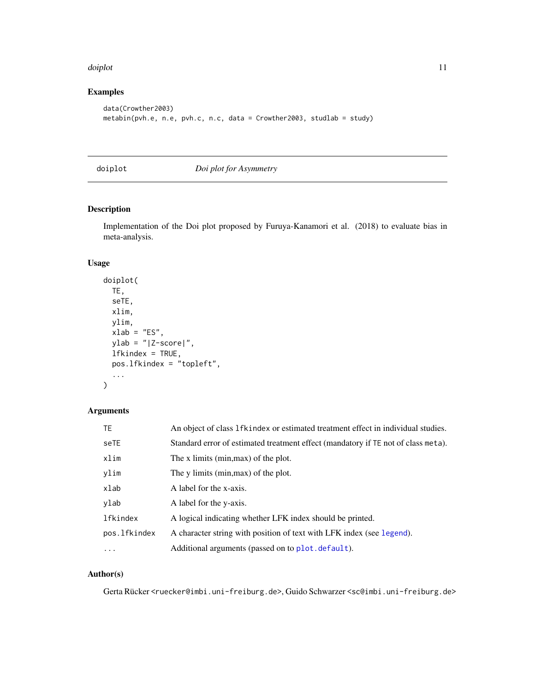#### <span id="page-10-0"></span>doiplot that the contract of the contract of the contract of the contract of the contract of the contract of the contract of the contract of the contract of the contract of the contract of the contract of the contract of t

# Examples

```
data(Crowther2003)
metabin(pvh.e, n.e, pvh.c, n.c, data = Crowther2003, studlab = study)
```
<span id="page-10-1"></span>doiplot *Doi plot for Asymmetry*

# Description

Implementation of the Doi plot proposed by Furuya-Kanamori et al. (2018) to evaluate bias in meta-analysis.

#### Usage

```
doiplot(
  TE,
  seTE,
  xlim,
  ylim,
  xlab = "ES",
  ylab = "|Z-score|",
  lfkindex = TRUE,
  pos.lfkindex = "topleft",
  ...
\overline{\phantom{a}}
```
# Arguments

| <b>TE</b>    | An object of class 1fkindex or estimated treatment effect in individual studies.  |
|--------------|-----------------------------------------------------------------------------------|
| seTE         | Standard error of estimated treatment effect (mandatory if TE not of class meta). |
| xlim         | The x limits (min, max) of the plot.                                              |
| ylim         | The y limits (min, max) of the plot.                                              |
| xlab         | A label for the x-axis.                                                           |
| ylab         | A label for the y-axis.                                                           |
| lfkindex     | A logical indicating whether LFK index should be printed.                         |
| pos.lfkindex | A character string with position of text with LFK index (see legend).             |
| $\cdots$     | Additional arguments (passed on to plot. default).                                |

# Author(s)

Gerta Rücker <ruecker@imbi.uni-freiburg.de>, Guido Schwarzer <sc@imbi.uni-freiburg.de>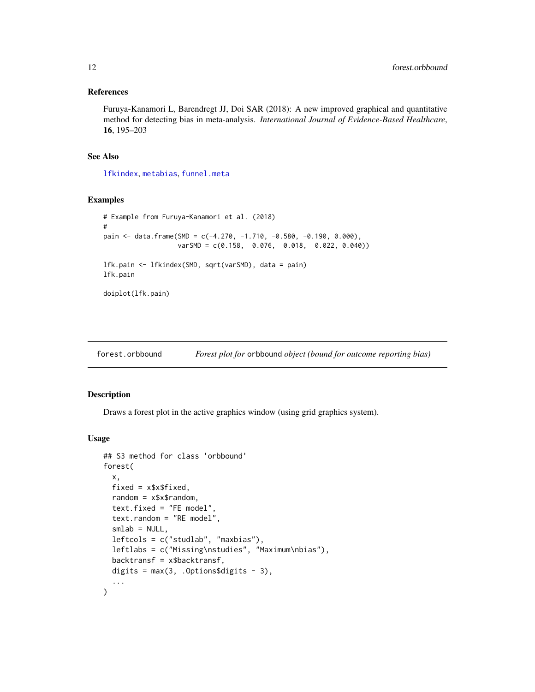#### <span id="page-11-0"></span>References

Furuya-Kanamori L, Barendregt JJ, Doi SAR (2018): A new improved graphical and quantitative method for detecting bias in meta-analysis. *International Journal of Evidence-Based Healthcare*, 16, 195–203

#### See Also

[lfkindex](#page-15-1), [metabias](#page-0-0), [funnel.meta](#page-0-0)

#### Examples

```
# Example from Furuya-Kanamori et al. (2018)
#
pain <- data.frame(SMD = c(-4.270, -1.710, -0.580, -0.190, 0.000),
                  varSMD = c(0.158, 0.076, 0.018, 0.022, 0.040))
lfk.pain <- lfkindex(SMD, sqrt(varSMD), data = pain)
lfk.pain
doiplot(lfk.pain)
```
<span id="page-11-1"></span>forest.orbbound *Forest plot for* orbbound *object (bound for outcome reporting bias)*

# Description

Draws a forest plot in the active graphics window (using grid graphics system).

#### Usage

```
## S3 method for class 'orbbound'
forest(
 x,
 fixed = x$x$fixed,
  random = x$x$random,
  text.fixed = "FE model",
  text.random = "RE model",
  smlab = NULL,leftcols = c("studlab", "maxbias"),
 leftlabs = c("Missing\nstudies", "Maximum\nbias"),
 backtransf = x$backtransf,
 digits = max(3, .0ptions$ digits - 3),...
)
```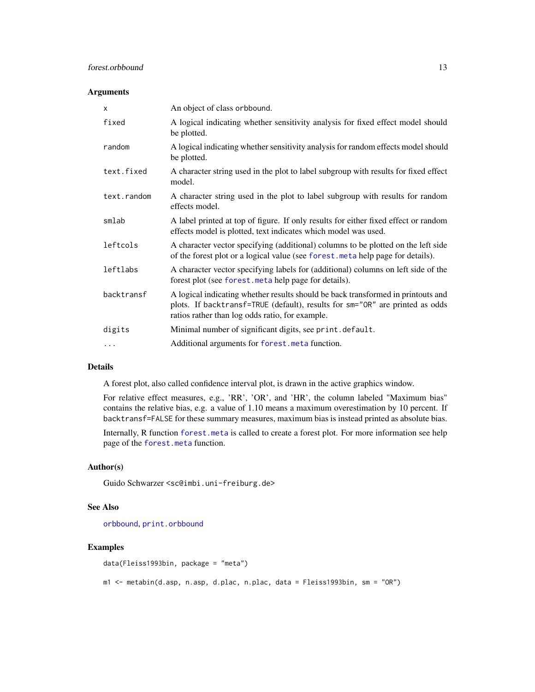# <span id="page-12-0"></span>forest.orbbound 13

#### Arguments

| $\mathsf{x}$ | An object of class orbbound.                                                                                                                                                                                        |
|--------------|---------------------------------------------------------------------------------------------------------------------------------------------------------------------------------------------------------------------|
| fixed        | A logical indicating whether sensitivity analysis for fixed effect model should<br>be plotted.                                                                                                                      |
| random       | A logical indicating whether sensitivity analysis for random effects model should<br>be plotted.                                                                                                                    |
| text.fixed   | A character string used in the plot to label subgroup with results for fixed effect<br>model.                                                                                                                       |
| text.random  | A character string used in the plot to label subgroup with results for random<br>effects model.                                                                                                                     |
| smlab        | A label printed at top of figure. If only results for either fixed effect or random<br>effects model is plotted, text indicates which model was used.                                                               |
| leftcols     | A character vector specifying (additional) columns to be plotted on the left side<br>of the forest plot or a logical value (see forest.meta help page for details).                                                 |
| leftlabs     | A character vector specifying labels for (additional) columns on left side of the<br>forest plot (see forest. meta help page for details).                                                                          |
| backtransf   | A logical indicating whether results should be back transformed in printouts and<br>plots. If backtransf=TRUE (default), results for sm="OR" are printed as odds<br>ratios rather than log odds ratio, for example. |
| digits       | Minimal number of significant digits, see print. default.                                                                                                                                                           |
| .            | Additional arguments for forest. meta function.                                                                                                                                                                     |

# Details

A forest plot, also called confidence interval plot, is drawn in the active graphics window.

For relative effect measures, e.g., 'RR', 'OR', and 'HR', the column labeled "Maximum bias" contains the relative bias, e.g. a value of 1.10 means a maximum overestimation by 10 percent. If backtransf=FALSE for these summary measures, maximum bias is instead printed as absolute bias.

Internally, R function [forest.meta](#page-0-0) is called to create a forest plot. For more information see help page of the [forest.meta](#page-0-0) function.

## Author(s)

Guido Schwarzer <sc@imbi.uni-freiburg.de>

#### See Also

[orbbound](#page-24-1), [print.orbbound](#page-32-1)

#### Examples

data(Fleiss1993bin, package = "meta")

m1 <- metabin(d.asp, n.asp, d.plac, n.plac, data = Fleiss1993bin, sm = "OR")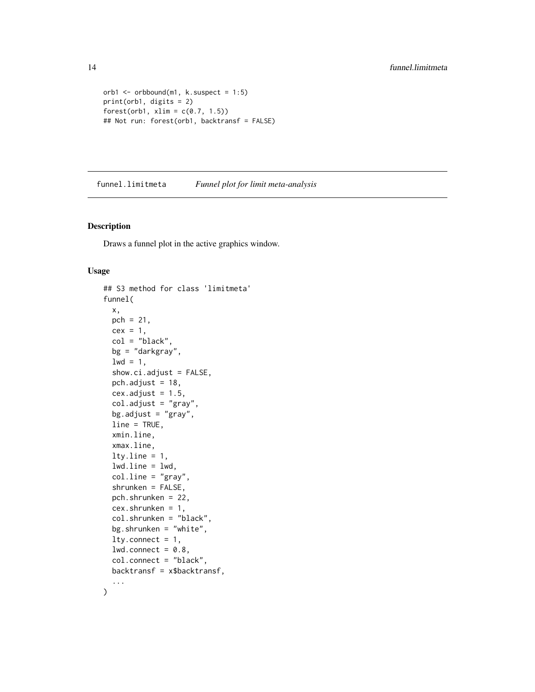```
orb1 \leq orbbound(m1, k.suspect = 1:5)
print(orb1, digits = 2)
forest(orb1, xlim = c(0.7, 1.5))
## Not run: forest(orb1, backtransf = FALSE)
```
<span id="page-13-1"></span>funnel.limitmeta *Funnel plot for limit meta-analysis*

# Description

Draws a funnel plot in the active graphics window.

#### Usage

```
## S3 method for class 'limitmeta'
funnel(
 x,
 pch = 21,
 cex = 1,
  col = "black",bg = "darkgray",
  1wd = 1,
  show.ci.adjust = FALSE,
  pch.adjust = 18,
  cex.addjust = 1.5,col.adjust = "gray",
  bg.adjust = "gray",line = TRUE,
  xmin.line,
  xmax.line,
  ltyu. line = 1,
  lwduine = lwd,
  coluline = "gray",
  shrunken = FALSE,
  pch.shrunken = 22,
  cex.shrunken = 1,col.shrunken = "black",
 bg.shrunken = "white",
 ltv.connect = 1,
  lwd.count = 0.8,
  col.connect = "black",
 backtransf = x$backtransf,
  ...
\mathcal{L}
```
<span id="page-13-0"></span>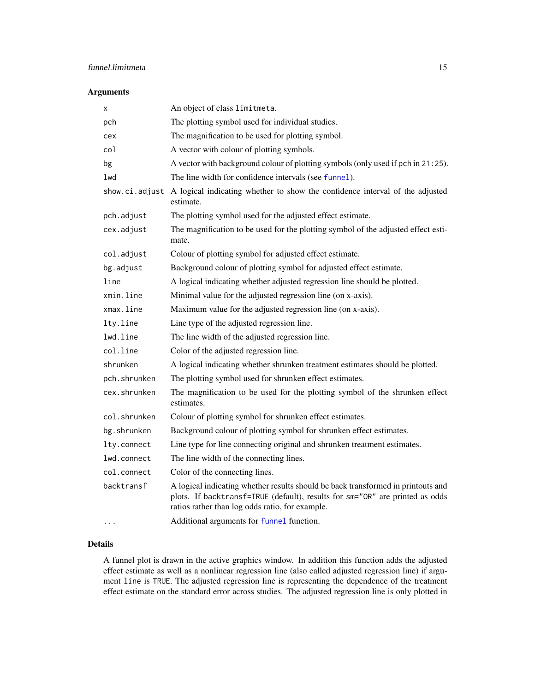# <span id="page-14-0"></span>Arguments

| х              | An object of class limitmeta.                                                                                                                                                                                       |
|----------------|---------------------------------------------------------------------------------------------------------------------------------------------------------------------------------------------------------------------|
| pch            | The plotting symbol used for individual studies.                                                                                                                                                                    |
| cex            | The magnification to be used for plotting symbol.                                                                                                                                                                   |
| col            | A vector with colour of plotting symbols.                                                                                                                                                                           |
| bg             | A vector with background colour of plotting symbols (only used if pch in 21:25).                                                                                                                                    |
| lwd            | The line width for confidence intervals (see funnel).                                                                                                                                                               |
| show.ci.adjust | A logical indicating whether to show the confidence interval of the adjusted<br>estimate.                                                                                                                           |
| pch.adjust     | The plotting symbol used for the adjusted effect estimate.                                                                                                                                                          |
| cex.adjust     | The magnification to be used for the plotting symbol of the adjusted effect esti-<br>mate.                                                                                                                          |
| col.adjust     | Colour of plotting symbol for adjusted effect estimate.                                                                                                                                                             |
| bg.adjust      | Background colour of plotting symbol for adjusted effect estimate.                                                                                                                                                  |
| line           | A logical indicating whether adjusted regression line should be plotted.                                                                                                                                            |
| xmin.line      | Minimal value for the adjusted regression line (on x-axis).                                                                                                                                                         |
| xmax.line      | Maximum value for the adjusted regression line (on x-axis).                                                                                                                                                         |
| lty.line       | Line type of the adjusted regression line.                                                                                                                                                                          |
| lwd.line       | The line width of the adjusted regression line.                                                                                                                                                                     |
| col.line       | Color of the adjusted regression line.                                                                                                                                                                              |
| shrunken       | A logical indicating whether shrunken treatment estimates should be plotted.                                                                                                                                        |
| pch.shrunken   | The plotting symbol used for shrunken effect estimates.                                                                                                                                                             |
| cex.shrunken   | The magnification to be used for the plotting symbol of the shrunken effect<br>estimates.                                                                                                                           |
| col.shrunken   | Colour of plotting symbol for shrunken effect estimates.                                                                                                                                                            |
| bg.shrunken    | Background colour of plotting symbol for shrunken effect estimates.                                                                                                                                                 |
| lty.connect    | Line type for line connecting original and shrunken treatment estimates.                                                                                                                                            |
| lwd.connect    | The line width of the connecting lines.                                                                                                                                                                             |
| col.connect    | Color of the connecting lines.                                                                                                                                                                                      |
| backtransf     | A logical indicating whether results should be back transformed in printouts and<br>plots. If backtransf=TRUE (default), results for sm="OR" are printed as odds<br>ratios rather than log odds ratio, for example. |
|                | Additional arguments for funnel function.                                                                                                                                                                           |

# Details

A funnel plot is drawn in the active graphics window. In addition this function adds the adjusted effect estimate as well as a nonlinear regression line (also called adjusted regression line) if argument line is TRUE. The adjusted regression line is representing the dependence of the treatment effect estimate on the standard error across studies. The adjusted regression line is only plotted in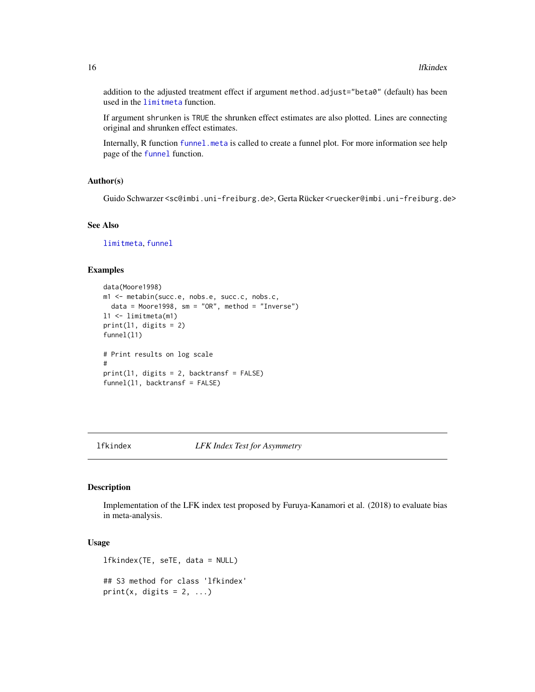addition to the adjusted treatment effect if argument method.adjust="beta0" (default) has been used in the [limitmeta](#page-17-1) function.

If argument shrunken is TRUE the shrunken effect estimates are also plotted. Lines are connecting original and shrunken effect estimates.

Internally, R function [funnel.meta](#page-0-0) is called to create a funnel plot. For more information see help page of the [funnel](#page-0-0) function.

#### Author(s)

Guido Schwarzer <sc@imbi.uni-freiburg.de>, Gerta Rücker <ruecker@imbi.uni-freiburg.de>

#### See Also

[limitmeta](#page-17-1), [funnel](#page-0-0)

#### Examples

```
data(Moore1998)
m1 <- metabin(succ.e, nobs.e, succ.c, nobs.c,
 data = Moore1998, sm = "OR", method = "Inverse")l1 <- limitmeta(m1)
print(11, digits = 2)funnel(11)
# Print results on log scale
#
print(l1, digits = 2, backtransf = FALSE)
funnel(l1, backtransf = FALSE)
```
<span id="page-15-1"></span>lfkindex *LFK Index Test for Asymmetry*

#### Description

Implementation of the LFK index test proposed by Furuya-Kanamori et al. (2018) to evaluate bias in meta-analysis.

# Usage

lfkindex(TE, seTE, data = NULL)

## S3 method for class 'lfkindex' print(x, digits =  $2, ...$ )

<span id="page-15-0"></span>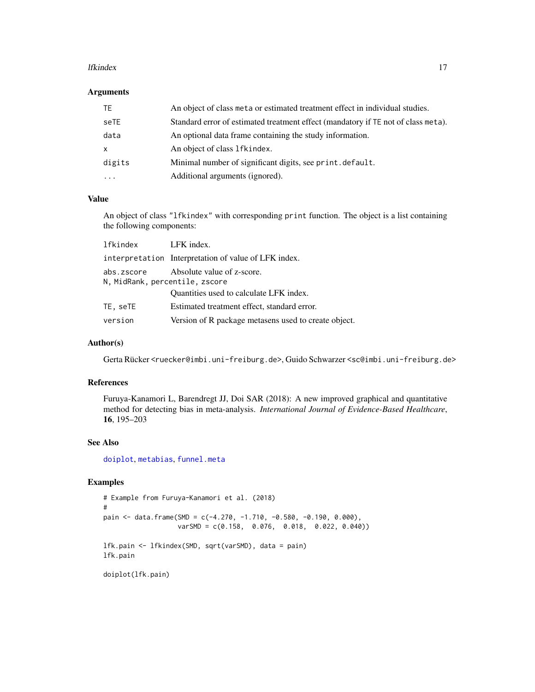#### <span id="page-16-0"></span>lfkindex and the state of the state of the state of the state of the state of the state of the state of the state of the state of the state of the state of the state of the state of the state of the state of the state of t

#### Arguments

| TE.       | An object of class meta or estimated treatment effect in individual studies.      |
|-----------|-----------------------------------------------------------------------------------|
| seTE      | Standard error of estimated treatment effect (mandatory if TE not of class meta). |
| data      | An optional data frame containing the study information.                          |
| X         | An object of class 1 f kindex.                                                    |
| digits    | Minimal number of significant digits, see print. default.                         |
| $\ddotsc$ | Additional arguments (ignored).                                                   |

# Value

An object of class "lfkindex" with corresponding print function. The object is a list containing the following components:

| lfkindex                                     | LFK index.                                           |
|----------------------------------------------|------------------------------------------------------|
|                                              | interpretation Interpretation of value of LFK index. |
| abs.zscore<br>N, MidRank, percentile, zscore | Absolute value of z-score.                           |
|                                              | Quantities used to calculate LFK index.              |
| TE, seTE                                     | Estimated treatment effect, standard error.          |
| version                                      | Version of R package metasens used to create object. |

#### Author(s)

Gerta Rücker <ruecker@imbi.uni-freiburg.de>, Guido Schwarzer <sc@imbi.uni-freiburg.de>

#### References

Furuya-Kanamori L, Barendregt JJ, Doi SAR (2018): A new improved graphical and quantitative method for detecting bias in meta-analysis. *International Journal of Evidence-Based Healthcare*, 16, 195–203

#### See Also

[doiplot](#page-10-1), [metabias](#page-0-0), [funnel.meta](#page-0-0)

#### Examples

```
# Example from Furuya-Kanamori et al. (2018)
#
pain <- data.frame(SMD = c(-4.270, -1.710, -0.580, -0.190, 0.000),
                  varSMD = c(0.158, 0.076, 0.018, 0.022, 0.040))
lfk.pain <- lfkindex(SMD, sqrt(varSMD), data = pain)
lfk.pain
```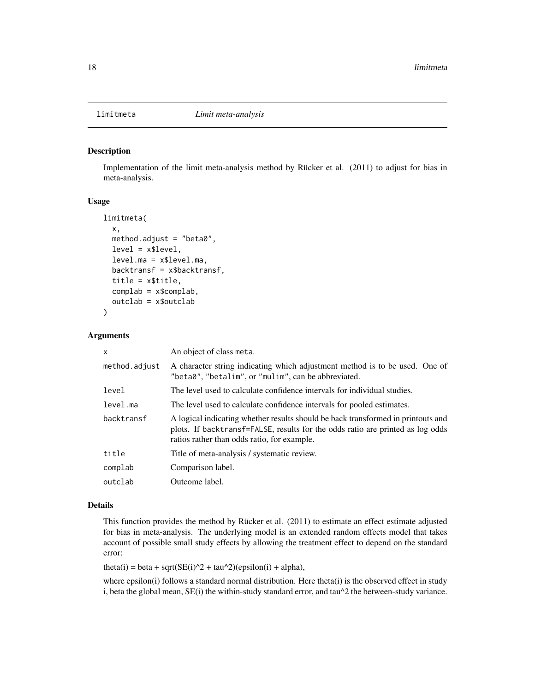<span id="page-17-1"></span><span id="page-17-0"></span>

#### Description

Implementation of the limit meta-analysis method by Rücker et al. (2011) to adjust for bias in meta-analysis.

# Usage

```
limitmeta(
 x,
 method.adjust = "beta0",
 level = x$level,level.ma = x$level.ma,
 backtransf = x$backtransf,
  title = x$title,
  complab = x$complab,
  outclab = x$outclab
\mathcal{L}
```
#### Arguments

| X             | An object of class meta.                                                                                                                                                                                          |
|---------------|-------------------------------------------------------------------------------------------------------------------------------------------------------------------------------------------------------------------|
| method.adjust | A character string indicating which adjustment method is to be used. One of<br>"beta0", "betalim", or "mulim", can be abbreviated.                                                                                |
| level         | The level used to calculate confidence intervals for individual studies.                                                                                                                                          |
| level.ma      | The level used to calculate confidence intervals for pooled estimates.                                                                                                                                            |
| backtransf    | A logical indicating whether results should be back transformed in printouts and<br>plots. If backtransf=FALSE, results for the odds ratio are printed as log odds<br>ratios rather than odds ratio, for example. |
| title         | Title of meta-analysis / systematic review.                                                                                                                                                                       |
| complab       | Comparison label.                                                                                                                                                                                                 |
| outclab       | Outcome label.                                                                                                                                                                                                    |

#### Details

This function provides the method by Rücker et al. (2011) to estimate an effect estimate adjusted for bias in meta-analysis. The underlying model is an extended random effects model that takes account of possible small study effects by allowing the treatment effect to depend on the standard error:

theta(i) = beta + sqrt( $SE(i)^2 + tau^2$ )(epsilon(i) + alpha),

where epsilon(i) follows a standard normal distribution. Here theta(i) is the observed effect in study i, beta the global mean,  $SE(i)$  the within-study standard error, and tau $\alpha$  the between-study variance.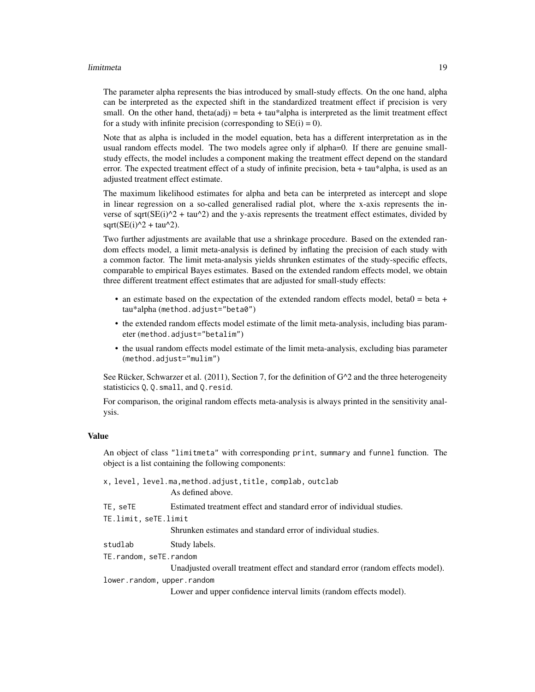#### limitmeta terminista e a constantino de la constructiva de la constructiva de la constructiva de la constructiv

The parameter alpha represents the bias introduced by small-study effects. On the one hand, alpha can be interpreted as the expected shift in the standardized treatment effect if precision is very small. On the other hand, theta(adj) = beta + tau\*alpha is interpreted as the limit treatment effect for a study with infinite precision (corresponding to  $SE(i) = 0$ ).

Note that as alpha is included in the model equation, beta has a different interpretation as in the usual random effects model. The two models agree only if alpha=0. If there are genuine smallstudy effects, the model includes a component making the treatment effect depend on the standard error. The expected treatment effect of a study of infinite precision, beta + tau\*alpha, is used as an adjusted treatment effect estimate.

The maximum likelihood estimates for alpha and beta can be interpreted as intercept and slope in linear regression on a so-called generalised radial plot, where the x-axis represents the inverse of sqrt( $SE(i)^2 + tau^2$ ) and the y-axis represents the treatment effect estimates, divided by  $sqrt(SE(i)^2 + tau^2)$ .

Two further adjustments are available that use a shrinkage procedure. Based on the extended random effects model, a limit meta-analysis is defined by inflating the precision of each study with a common factor. The limit meta-analysis yields shrunken estimates of the study-specific effects, comparable to empirical Bayes estimates. Based on the extended random effects model, we obtain three different treatment effect estimates that are adjusted for small-study effects:

- an estimate based on the expectation of the extended random effects model, beta0 = beta + tau\*alpha (method.adjust="beta0")
- the extended random effects model estimate of the limit meta-analysis, including bias parameter (method.adjust="betalim")
- the usual random effects model estimate of the limit meta-analysis, excluding bias parameter (method.adjust="mulim")

See Rücker, Schwarzer et al. (2011), Section 7, for the definition of  $G^2$  and the three heterogeneity statisticics Q, Q.small, and Q.resid.

For comparison, the original random effects meta-analysis is always printed in the sensitivity analysis.

#### Value

An object of class "limitmeta" with corresponding print, summary and funnel function. The object is a list containing the following components:

|                            | x, level, level.ma,method.adjust,title, complab, outclab<br>As defined above.  |  |
|----------------------------|--------------------------------------------------------------------------------|--|
| TE, seTE                   | Estimated treatment effect and standard error of individual studies.           |  |
| TE.limit, seTE.limit       |                                                                                |  |
|                            | Shrunken estimates and standard error of individual studies.                   |  |
| studlab                    | Study labels.                                                                  |  |
| TE.random, seTE.random     |                                                                                |  |
|                            | Unadjusted overall treatment effect and standard error (random effects model). |  |
| lower.random, upper.random |                                                                                |  |
|                            | Lower and upper confidence interval limits (random effects model).             |  |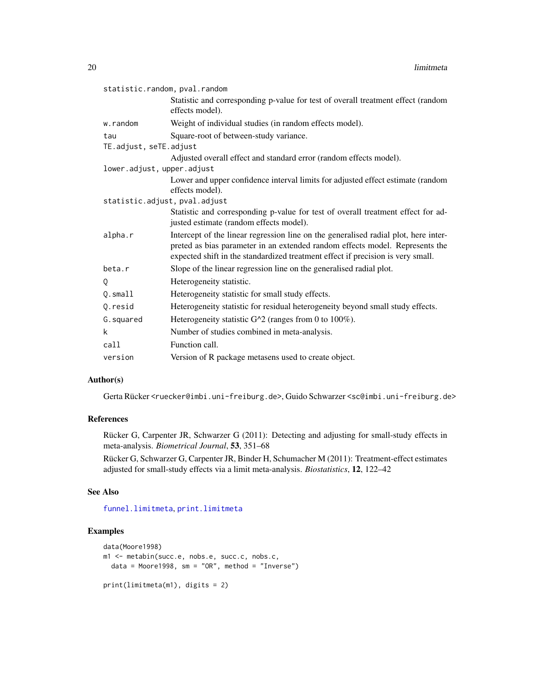<span id="page-19-0"></span>

| statistic.random, pval.random                                                                                                                                                                                                                          |
|--------------------------------------------------------------------------------------------------------------------------------------------------------------------------------------------------------------------------------------------------------|
| Statistic and corresponding p-value for test of overall treatment effect (random<br>effects model).                                                                                                                                                    |
| Weight of individual studies (in random effects model).                                                                                                                                                                                                |
| Square-root of between-study variance.                                                                                                                                                                                                                 |
| TE.adjust, seTE.adjust                                                                                                                                                                                                                                 |
| Adjusted overall effect and standard error (random effects model).                                                                                                                                                                                     |
| lower.adjust, upper.adjust                                                                                                                                                                                                                             |
| Lower and upper confidence interval limits for adjusted effect estimate (random<br>effects model).                                                                                                                                                     |
| statistic.adjust, pval.adjust                                                                                                                                                                                                                          |
| Statistic and corresponding p-value for test of overall treatment effect for ad-<br>justed estimate (random effects model).                                                                                                                            |
| Intercept of the linear regression line on the generalised radial plot, here inter-<br>preted as bias parameter in an extended random effects model. Represents the<br>expected shift in the standardized treatment effect if precision is very small. |
| Slope of the linear regression line on the generalised radial plot.                                                                                                                                                                                    |
| Heterogeneity statistic.                                                                                                                                                                                                                               |
| Heterogeneity statistic for small study effects.                                                                                                                                                                                                       |
| Heterogeneity statistic for residual heterogeneity beyond small study effects.                                                                                                                                                                         |
| Heterogeneity statistic $G^2$ (ranges from 0 to 100%).                                                                                                                                                                                                 |
| Number of studies combined in meta-analysis.                                                                                                                                                                                                           |
| Function call.                                                                                                                                                                                                                                         |
| Version of R package metasens used to create object.                                                                                                                                                                                                   |
|                                                                                                                                                                                                                                                        |

# Author(s)

Gerta Rücker <ruecker@imbi.uni-freiburg.de>, Guido Schwarzer <sc@imbi.uni-freiburg.de>

#### References

Rücker G, Carpenter JR, Schwarzer G (2011): Detecting and adjusting for small-study effects in meta-analysis. *Biometrical Journal*, 53, 351–68

Rücker G, Schwarzer G, Carpenter JR, Binder H, Schumacher M (2011): Treatment-effect estimates adjusted for small-study effects via a limit meta-analysis. *Biostatistics*, 12, 122–42

# See Also

[funnel.limitmeta](#page-13-1), [print.limitmeta](#page-30-1)

# Examples

```
data(Moore1998)
m1 <- metabin(succ.e, nobs.e, succ.c, nobs.c,
  data = Moore1998, sm = "OR", method = "Inverse")print(limitmeta(m1), digits = 2)
```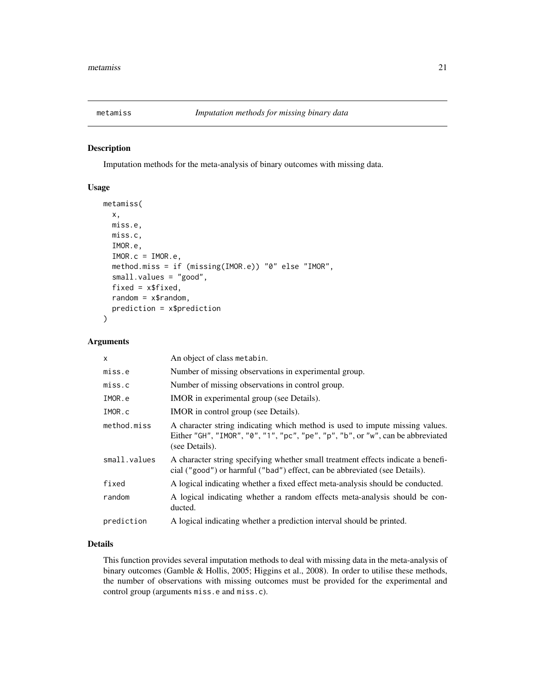<span id="page-20-1"></span><span id="page-20-0"></span>

#### Description

Imputation methods for the meta-analysis of binary outcomes with missing data.

# Usage

```
metamiss(
  x,
 miss.e,
 miss.c,
  IMOR.e,
  IMOR.c = IMOR.e,method.miss = if (missing(IMOR.e)) "0" else "IMOR",
  small.values = "good",
  fixed = x$fixed,random = x$random,
  prediction = x$prediction
)
```
# Arguments

| $\mathsf{x}$ | An object of class metabin.                                                                                                                                                       |
|--------------|-----------------------------------------------------------------------------------------------------------------------------------------------------------------------------------|
| miss.e       | Number of missing observations in experimental group.                                                                                                                             |
| miss.c       | Number of missing observations in control group.                                                                                                                                  |
| IMOR.e       | <b>IMOR</b> in experimental group (see Details).                                                                                                                                  |
| IMOR.c       | IMOR in control group (see Details).                                                                                                                                              |
| method.miss  | A character string indicating which method is used to impute missing values.<br>Either "GH", "IMOR", "0", "1", "pc", "pe", "p", "b", or "w", can be abbreviated<br>(see Details). |
| small.values | A character string specifying whether small treatment effects indicate a benefi-<br>cial ("good") or harmful ("bad") effect, can be abbreviated (see Details).                    |
| fixed        | A logical indicating whether a fixed effect meta-analysis should be conducted.                                                                                                    |
| random       | A logical indicating whether a random effects meta-analysis should be con-<br>ducted.                                                                                             |
| prediction   | A logical indicating whether a prediction interval should be printed.                                                                                                             |

# Details

This function provides several imputation methods to deal with missing data in the meta-analysis of binary outcomes (Gamble & Hollis, 2005; Higgins et al., 2008). In order to utilise these methods, the number of observations with missing outcomes must be provided for the experimental and control group (arguments miss.e and miss.c).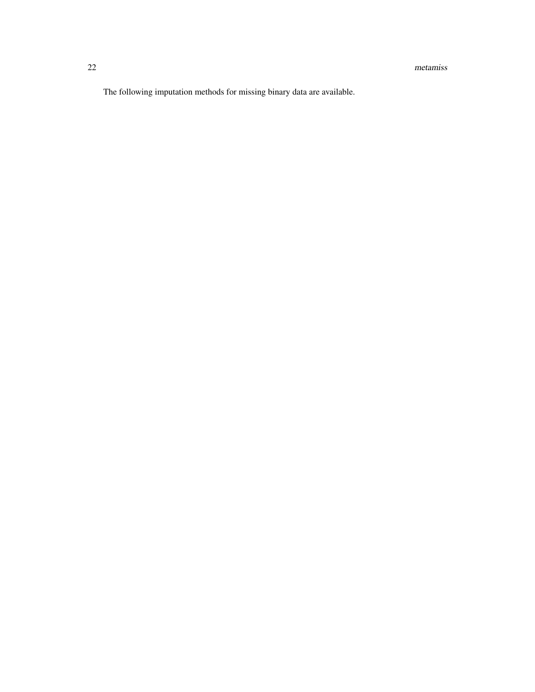The following imputation methods for missing binary data are available.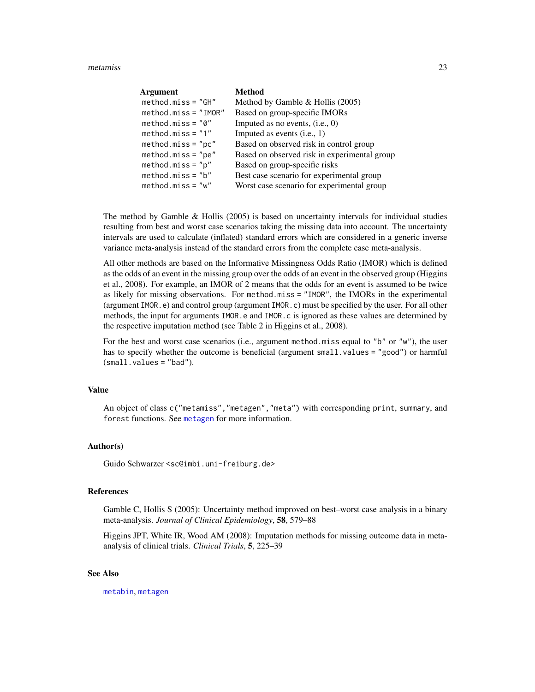#### <span id="page-22-0"></span>metamiss 23

| Argument               | <b>Method</b>                                |
|------------------------|----------------------------------------------|
| $method.miss = "GH"$   | Method by Gamble & Hollis (2005)             |
| $method.miss = "IMOR"$ | Based on group-specific IMORs                |
| $method.miss = "0"$    | Imputed as no events, $(i.e., 0)$            |
| $method.miss = "1"$    | Imputed as events $(i.e., 1)$                |
| $method.miss="pc"$     | Based on observed risk in control group      |
| $method.miss="pe"$     | Based on observed risk in experimental group |
| $method.miss="p"$      | Based on group-specific risks                |
| $method.miss="b"$      | Best case scenario for experimental group    |
| $method.miss = "w"$    | Worst case scenario for experimental group   |

The method by Gamble  $\&$  Hollis (2005) is based on uncertainty intervals for individual studies resulting from best and worst case scenarios taking the missing data into account. The uncertainty intervals are used to calculate (inflated) standard errors which are considered in a generic inverse variance meta-analysis instead of the standard errors from the complete case meta-analysis.

All other methods are based on the Informative Missingness Odds Ratio (IMOR) which is defined as the odds of an event in the missing group over the odds of an event in the observed group (Higgins et al., 2008). For example, an IMOR of 2 means that the odds for an event is assumed to be twice as likely for missing observations. For method.miss = "IMOR", the IMORs in the experimental (argument IMOR.e) and control group (argument IMOR.c) must be specified by the user. For all other methods, the input for arguments IMOR.e and IMOR.c is ignored as these values are determined by the respective imputation method (see Table 2 in Higgins et al., 2008).

For the best and worst case scenarios (i.e., argument method.miss equal to "b" or "w"), the user has to specify whether the outcome is beneficial (argument small.values = "good") or harmful (small.values = "bad").

# Value

An object of class c("metamiss","metagen","meta") with corresponding print, summary, and forest functions. See [metagen](#page-0-0) for more information.

# Author(s)

Guido Schwarzer <sc@imbi.uni-freiburg.de>

#### References

Gamble C, Hollis S (2005): Uncertainty method improved on best–worst case analysis in a binary meta-analysis. *Journal of Clinical Epidemiology*, 58, 579–88

Higgins JPT, White IR, Wood AM (2008): Imputation methods for missing outcome data in metaanalysis of clinical trials. *Clinical Trials*, 5, 225–39

### See Also

[metabin](#page-0-0), [metagen](#page-0-0)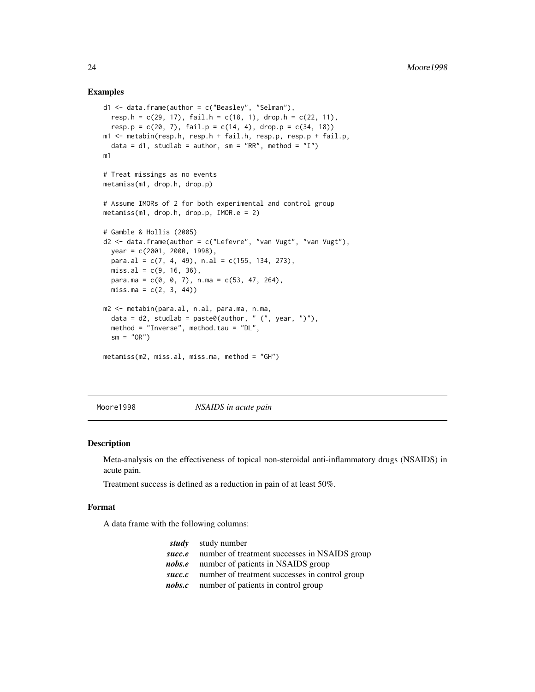#### Examples

```
d1 \leq data.frame(author = c("Beasley", "Selman"),
 resp.h = c(29, 17), fail.h = c(18, 1), drop.h = c(22, 11),
 resp. p = c(20, 7), fail.p = c(14, 4), drop.p = c(34, 18)m1 <- metabin(resp.h, resp.h + fail.h, resp.p, resp.p + fail.p,
  data = d1, studlab = author, sm = "RR", method = "I")
m1
# Treat missings as no events
metamiss(m1, drop.h, drop.p)
# Assume IMORs of 2 for both experimental and control group
metamiss(m1, drop.h, drop.p, IMOR.e = 2)
# Gamble & Hollis (2005)
d2 \leq - data.frame(author = c("Lefevre", "van Vugt", "van Vugt"),
 year = c(2001, 2000, 1998),
 para.al = c(7, 4, 49), n.al = c(155, 134, 273),
 miss.al = c(9, 16, 36),para.ma = c(0, 0, 7), n.ma = c(53, 47, 264),
 miss.ma = c(2, 3, 44)m2 <- metabin(para.al, n.al, para.ma, n.ma,
  data = d2, studlab = paste0(author, " (", year, ")"),
  method = "Inverse", method.tau = "DL",
  sm = "OR")metamiss(m2, miss.al, miss.ma, method = "GH")
```
Moore1998 *NSAIDS in acute pain*

#### Description

Meta-analysis on the effectiveness of topical non-steroidal anti-inflammatory drugs (NSAIDS) in acute pain.

Treatment success is defined as a reduction in pain of at least 50%.

#### Format

A data frame with the following columns:

|        | <i>study</i> study number                             |
|--------|-------------------------------------------------------|
| succ.e | number of treatment successes in NSAIDS group         |
|        | <i>nobs.e</i> number of patients in NSAIDS group      |
|        | succ.c number of treatment successes in control group |
|        | <i>nobs.c</i> number of patients in control group     |

<span id="page-23-0"></span>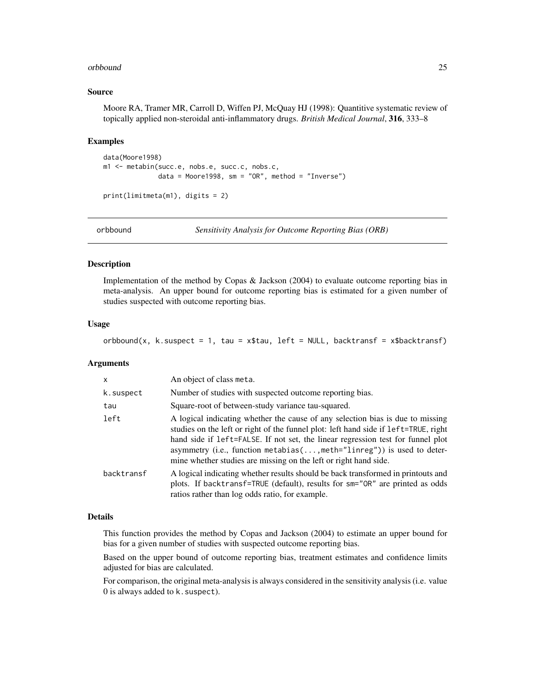#### <span id="page-24-0"></span>orbbound 25

#### Source

Moore RA, Tramer MR, Carroll D, Wiffen PJ, McQuay HJ (1998): Quantitive systematic review of topically applied non-steroidal anti-inflammatory drugs. *British Medical Journal*, 316, 333–8

#### Examples

```
data(Moore1998)
m1 <- metabin(succ.e, nobs.e, succ.c, nobs.c,
             data = Moore1998, sm = "OR", method = "Inverse")print(limitmeta(m1), digits = 2)
```
<span id="page-24-1"></span>

orbbound *Sensitivity Analysis for Outcome Reporting Bias (ORB)*

# Description

Implementation of the method by Copas & Jackson (2004) to evaluate outcome reporting bias in meta-analysis. An upper bound for outcome reporting bias is estimated for a given number of studies suspected with outcome reporting bias.

#### Usage

orbbound(x, k.suspect = 1, tau = x\$tau, left = NULL, backtransf = x\$backtransf)

#### Arguments

| $\mathsf{x}$ | An object of class meta.                                                                                                                                                                                                                                                                                                                                                                               |
|--------------|--------------------------------------------------------------------------------------------------------------------------------------------------------------------------------------------------------------------------------------------------------------------------------------------------------------------------------------------------------------------------------------------------------|
| k.suspect    | Number of studies with suspected outcome reporting bias.                                                                                                                                                                                                                                                                                                                                               |
| tau          | Square-root of between-study variance tau-squared.                                                                                                                                                                                                                                                                                                                                                     |
| left         | A logical indicating whether the cause of any selection bias is due to missing<br>studies on the left or right of the funnel plot: left hand side if left=TRUE, right<br>hand side if left=FALSE. If not set, the linear regression test for funnel plot<br>asymmetry (i.e., function metabias(, meth="linreg")) is used to deter-<br>mine whether studies are missing on the left or right hand side. |
| backtransf   | A logical indicating whether results should be back transformed in printouts and<br>plots. If backtransf=TRUE (default), results for sm="OR" are printed as odds<br>ratios rather than log odds ratio, for example.                                                                                                                                                                                    |

#### Details

This function provides the method by Copas and Jackson (2004) to estimate an upper bound for bias for a given number of studies with suspected outcome reporting bias.

Based on the upper bound of outcome reporting bias, treatment estimates and confidence limits adjusted for bias are calculated.

For comparison, the original meta-analysis is always considered in the sensitivity analysis (i.e. value 0 is always added to k. suspect).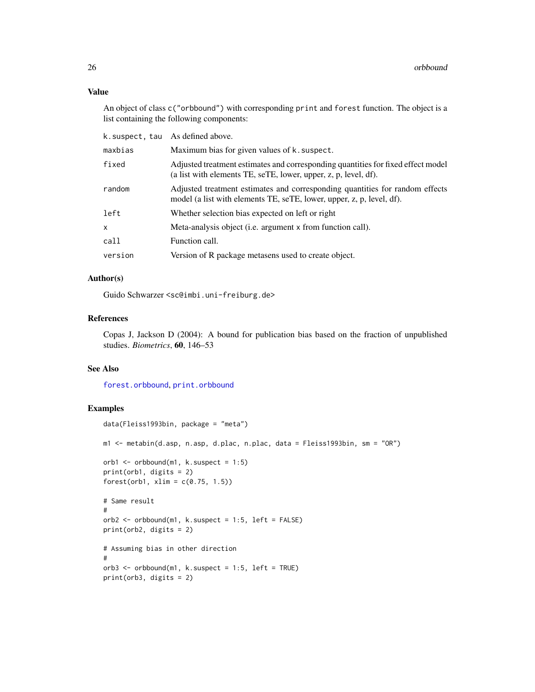# Value

An object of class c("orbbound") with corresponding print and forest function. The object is a list containing the following components:

| k.suspect, tau | As defined above.                                                                                                                                     |
|----------------|-------------------------------------------------------------------------------------------------------------------------------------------------------|
| maxbias        | Maximum bias for given values of k. suspect.                                                                                                          |
| fixed          | Adjusted treatment estimates and corresponding quantities for fixed effect model<br>(a list with elements TE, seTE, lower, upper, z, p, level, df).   |
| random         | Adjusted treatment estimates and corresponding quantities for random effects<br>model (a list with elements TE, seTE, lower, upper, z, p, level, df). |
| left           | Whether selection bias expected on left or right                                                                                                      |
| X.             | Meta-analysis object (i.e. argument x from function call).                                                                                            |
| call           | Function call.                                                                                                                                        |
| version        | Version of R package metasens used to create object.                                                                                                  |
|                |                                                                                                                                                       |

# Author(s)

Guido Schwarzer <sc@imbi.uni-freiburg.de>

# References

Copas J, Jackson D (2004): A bound for publication bias based on the fraction of unpublished studies. *Biometrics*, 60, 146–53

### See Also

[forest.orbbound](#page-11-1), [print.orbbound](#page-32-1)

# Examples

```
data(Fleiss1993bin, package = "meta")
m1 <- metabin(d.asp, n.asp, d.plac, n.plac, data = Fleiss1993bin, sm = "OR")
orb1 \leq orbbound(m1, k.suspect = 1:5)
print(orb1, digits = 2)
forest(orb1, xlim = c(0.75, 1.5))# Same result
#
orb2 \leq orbbound(m1, k.suspect = 1:5, left = FALSE)
print(orb2, digits = 2)
# Assuming bias in other direction
#
orb3 \leq orbbound(m1, k.suspect = 1:5, left = TRUE)
print(orb3, digits = 2)
```
<span id="page-25-0"></span>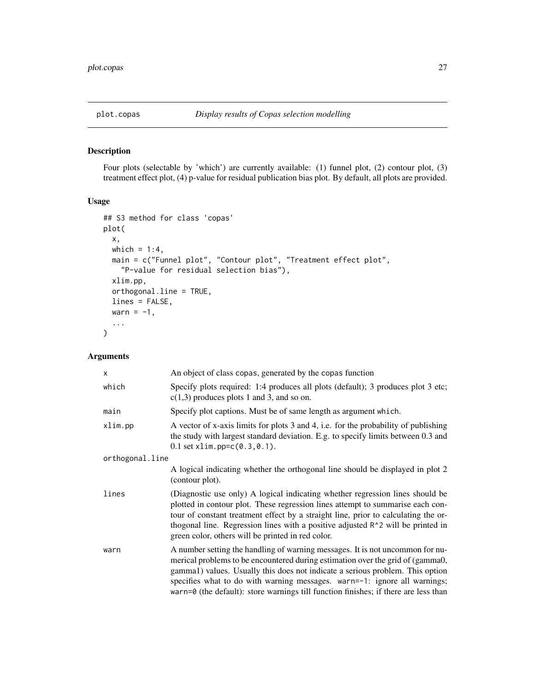# <span id="page-26-1"></span><span id="page-26-0"></span>Description

Four plots (selectable by 'which') are currently available: (1) funnel plot, (2) contour plot, (3) treatment effect plot, (4) p-value for residual publication bias plot. By default, all plots are provided.

# Usage

```
## S3 method for class 'copas'
plot(
  x,
 which = 1:4,
 main = c("Funnel plot", "Contour plot", "Treatment effect plot",
    "P-value for residual selection bias"),
  xlim.pp,
  orthogonal.line = TRUE,
 lines = FALSE,
 warn = -1,
  ...
)
```
# Arguments

| $\times$        | An object of class copas, generated by the copas function                                                                                                                                                                                                                                                                                                                                                            |
|-----------------|----------------------------------------------------------------------------------------------------------------------------------------------------------------------------------------------------------------------------------------------------------------------------------------------------------------------------------------------------------------------------------------------------------------------|
| which           | Specify plots required: 1:4 produces all plots (default); 3 produces plot 3 etc;<br>$c(1,3)$ produces plots 1 and 3, and so on.                                                                                                                                                                                                                                                                                      |
| main            | Specify plot captions. Must be of same length as argument which.                                                                                                                                                                                                                                                                                                                                                     |
| xlim.pp         | A vector of x-axis limits for plots 3 and 4, i.e. for the probability of publishing<br>the study with largest standard deviation. E.g. to specify limits between 0.3 and<br>$0.1$ set xlim.pp= $c(0.3, 0.1)$ .                                                                                                                                                                                                       |
| orthogonal.line |                                                                                                                                                                                                                                                                                                                                                                                                                      |
|                 | A logical indicating whether the orthogonal line should be displayed in plot 2<br>(contour plot).                                                                                                                                                                                                                                                                                                                    |
| lines           | (Diagnostic use only) A logical indicating whether regression lines should be<br>plotted in contour plot. These regression lines attempt to summarise each con-<br>tour of constant treatment effect by a straight line, prior to calculating the or-<br>thogonal line. Regression lines with a positive adjusted R <sup>1</sup> 2 will be printed in<br>green color, others will be printed in red color.           |
| warn            | A number setting the handling of warning messages. It is not uncommon for nu-<br>merical problems to be encountered during estimation over the grid of (gamma0,<br>gamma1) values. Usually this does not indicate a serious problem. This option<br>specifies what to do with warning messages. warn=-1: ignore all warnings;<br>warn=0 (the default): store warnings till function finishes; if there are less than |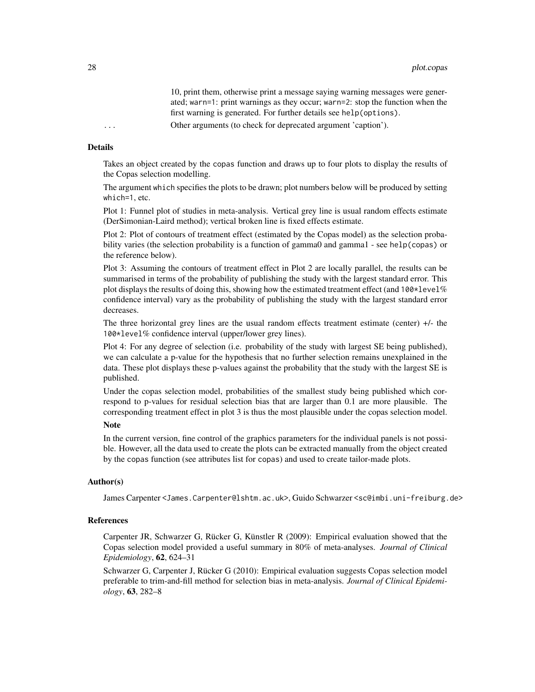10, print them, otherwise print a message saying warning messages were generated; warn=1: print warnings as they occur; warn=2: stop the function when the first warning is generated. For further details see help(options).

... Other arguments (to check for deprecated argument 'caption').

#### Details

Takes an object created by the copas function and draws up to four plots to display the results of the Copas selection modelling.

The argument which specifies the plots to be drawn; plot numbers below will be produced by setting which=1, etc.

Plot 1: Funnel plot of studies in meta-analysis. Vertical grey line is usual random effects estimate (DerSimonian-Laird method); vertical broken line is fixed effects estimate.

Plot 2: Plot of contours of treatment effect (estimated by the Copas model) as the selection probability varies (the selection probability is a function of gamma0 and gamma1 - see help(copas) or the reference below).

Plot 3: Assuming the contours of treatment effect in Plot 2 are locally parallel, the results can be summarised in terms of the probability of publishing the study with the largest standard error. This plot displays the results of doing this, showing how the estimated treatment effect (and  $100*level\%$ confidence interval) vary as the probability of publishing the study with the largest standard error decreases.

The three horizontal grey lines are the usual random effects treatment estimate (center)  $+/$ - the 100\*level% confidence interval (upper/lower grey lines).

Plot 4: For any degree of selection (i.e. probability of the study with largest SE being published), we can calculate a p-value for the hypothesis that no further selection remains unexplained in the data. These plot displays these p-values against the probability that the study with the largest SE is published.

Under the copas selection model, probabilities of the smallest study being published which correspond to p-values for residual selection bias that are larger than 0.1 are more plausible. The corresponding treatment effect in plot 3 is thus the most plausible under the copas selection model.

# **Note**

In the current version, fine control of the graphics parameters for the individual panels is not possible. However, all the data used to create the plots can be extracted manually from the object created by the copas function (see attributes list for copas) and used to create tailor-made plots.

#### Author(s)

James Carpenter <James.Carpenter@lshtm.ac.uk>, Guido Schwarzer <sc@imbi.uni-freiburg.de>

#### References

Carpenter JR, Schwarzer G, Rücker G, Künstler R (2009): Empirical evaluation showed that the Copas selection model provided a useful summary in 80% of meta-analyses. *Journal of Clinical Epidemiology*, 62, 624–31

Schwarzer G, Carpenter J, Rücker G (2010): Empirical evaluation suggests Copas selection model preferable to trim-and-fill method for selection bias in meta-analysis. *Journal of Clinical Epidemiology*, 63, 282–8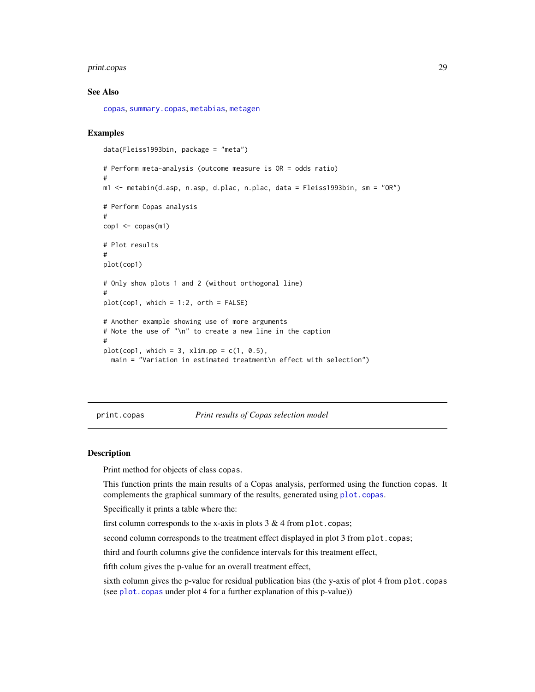#### <span id="page-28-0"></span>print.copas 29

#### See Also

[copas](#page-2-1), [summary.copas](#page-36-1), [metabias](#page-0-0), [metagen](#page-0-0)

#### Examples

```
data(Fleiss1993bin, package = "meta")
# Perform meta-analysis (outcome measure is OR = odds ratio)
#
m1 <- metabin(d.asp, n.asp, d.plac, n.plac, data = Fleiss1993bin, sm = "OR")
# Perform Copas analysis
#
cop1 < - copas(m1)# Plot results
#
plot(cop1)
# Only show plots 1 and 2 (without orthogonal line)
#
plot(cop1, which = 1:2, orth = FALSE)
# Another example showing use of more arguments
# Note the use of "\n" to create a new line in the caption
#
plot(cop1, which = 3, xlim.pp = c(1, 0.5),
  main = "Variation in estimated treatment\n effect with selection")
```
print.copas *Print results of Copas selection model*

#### Description

Print method for objects of class copas.

This function prints the main results of a Copas analysis, performed using the function copas. It complements the graphical summary of the results, generated using [plot.copas](#page-26-1).

Specifically it prints a table where the:

first column corresponds to the x-axis in plots  $3 & 4$  from plot.copas;

second column corresponds to the treatment effect displayed in plot 3 from plot.copas;

third and fourth columns give the confidence intervals for this treatment effect,

fifth colum gives the p-value for an overall treatment effect,

sixth column gives the p-value for residual publication bias (the y-axis of plot 4 from plot.copas (see [plot.copas](#page-26-1) under plot 4 for a further explanation of this p-value))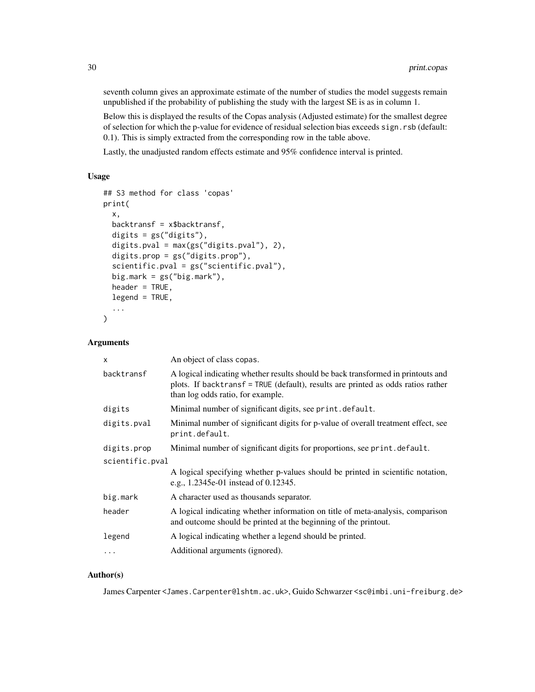seventh column gives an approximate estimate of the number of studies the model suggests remain unpublished if the probability of publishing the study with the largest SE is as in column 1.

Below this is displayed the results of the Copas analysis (Adjusted estimate) for the smallest degree of selection for which the p-value for evidence of residual selection bias exceeds sign.rsb (default: 0.1). This is simply extracted from the corresponding row in the table above.

Lastly, the unadjusted random effects estimate and 95% confidence interval is printed.

# Usage

```
## S3 method for class 'copas'
print(
  x,
  backtransf = x$backtransf,
  digits = gs("digits"),
  digits.pval = max(gs("digits.pval"), 2),
  digits.prop = gs("digits.prop"),
  scientific.pval = gs("scientific.pval"),
  big.mark = gs("big.max"),
  header = TRUE,legend = TRUE,
  ...
)
```
# Arguments

| x               | An object of class copas.                                                                                                                                                                                 |
|-----------------|-----------------------------------------------------------------------------------------------------------------------------------------------------------------------------------------------------------|
| backtransf      | A logical indicating whether results should be back transformed in printouts and<br>plots. If backtransf = TRUE (default), results are printed as odds ratios rather<br>than log odds ratio, for example. |
| digits          | Minimal number of significant digits, see print.default.                                                                                                                                                  |
| digits.pval     | Minimal number of significant digits for p-value of overall treatment effect, see<br>print.default.                                                                                                       |
| digits.prop     | Minimal number of significant digits for proportions, see print. default.                                                                                                                                 |
| scientific.pval |                                                                                                                                                                                                           |
|                 | A logical specifying whether p-values should be printed in scientific notation,<br>e.g., 1.2345e-01 instead of 0.12345.                                                                                   |
| big.mark        | A character used as thousands separator.                                                                                                                                                                  |
| header          | A logical indicating whether information on title of meta-analysis, comparison<br>and outcome should be printed at the beginning of the printout.                                                         |
| legend          | A logical indicating whether a legend should be printed.                                                                                                                                                  |
| $\ddots$        | Additional arguments (ignored).                                                                                                                                                                           |

# Author(s)

James Carpenter <James.Carpenter@lshtm.ac.uk>, Guido Schwarzer <sc@imbi.uni-freiburg.de>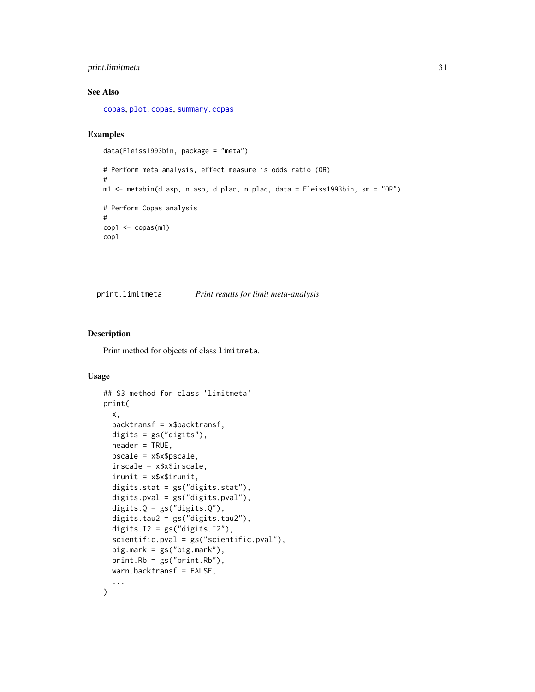# <span id="page-30-0"></span>print.limitmeta 31

# See Also

[copas](#page-2-1), [plot.copas](#page-26-1), [summary.copas](#page-36-1)

# Examples

```
data(Fleiss1993bin, package = "meta")
# Perform meta analysis, effect measure is odds ratio (OR)
#
m1 <- metabin(d.asp, n.asp, d.plac, n.plac, data = Fleiss1993bin, sm = "OR")
# Perform Copas analysis
#
cop1 < - copas(m1)cop1
```
<span id="page-30-1"></span>print.limitmeta *Print results for limit meta-analysis*

#### Description

Print method for objects of class limitmeta.

# Usage

```
## S3 method for class 'limitmeta'
print(
  x,
  backtransf = x$backtransf,
  digits = gs("digits"),
  header = TRUE,
  pscale = x$x$pscale,
  irscale = x$x$irscale,
  irunit = x$x$irunit,
  digits.stat = gs("digits.stat"),
  digits.pval = gs("digits.pval"),
  digits.Q = gs("digits.Q"),digits.tau2 = gs("digits.tau2"),
  digits.I2 = gs("digits.I2"),
  scientific.pval = gs("scientific.pval"),
  big.mark = gs("big.mark"),
  print.Rb = gs("print.Rb"),
 warn.backtransf = FALSE,
  ...
\mathcal{L}
```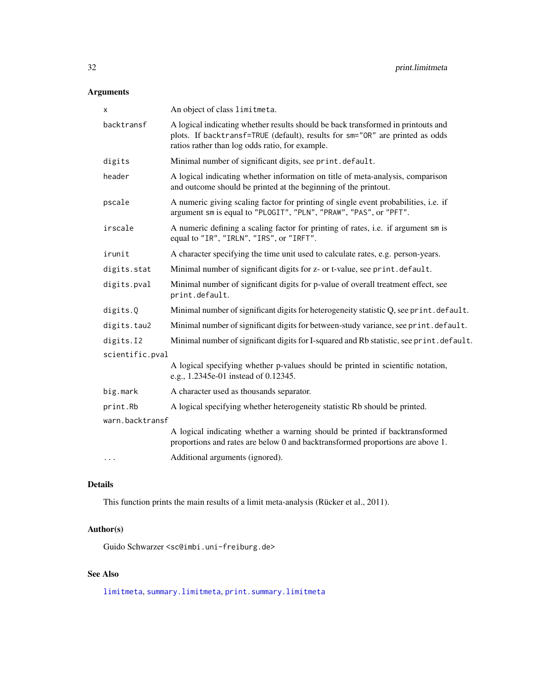# <span id="page-31-0"></span>Arguments

| x               | An object of class limitmeta.                                                                                                                                                                                       |
|-----------------|---------------------------------------------------------------------------------------------------------------------------------------------------------------------------------------------------------------------|
| backtransf      | A logical indicating whether results should be back transformed in printouts and<br>plots. If backtransf=TRUE (default), results for sm="OR" are printed as odds<br>ratios rather than log odds ratio, for example. |
| digits          | Minimal number of significant digits, see print.default.                                                                                                                                                            |
| header          | A logical indicating whether information on title of meta-analysis, comparison<br>and outcome should be printed at the beginning of the printout.                                                                   |
| pscale          | A numeric giving scaling factor for printing of single event probabilities, i.e. if<br>argument sm is equal to "PLOGIT", "PLN", "PRAW", "PAS", or "PFT".                                                            |
| irscale         | A numeric defining a scaling factor for printing of rates, i.e. if argument sm is<br>equal to "IR", "IRLN", "IRS", or "IRFT".                                                                                       |
| irunit          | A character specifying the time unit used to calculate rates, e.g. person-years.                                                                                                                                    |
| digits.stat     | Minimal number of significant digits for z- or t-value, see print.default.                                                                                                                                          |
| digits.pval     | Minimal number of significant digits for p-value of overall treatment effect, see<br>print.default.                                                                                                                 |
| digits.Q        | Minimal number of significant digits for heterogeneity statistic Q, see print. default.                                                                                                                             |
| digits.tau2     | Minimal number of significant digits for between-study variance, see print. default.                                                                                                                                |
| digits.I2       | Minimal number of significant digits for I-squared and Rb statistic, see print. default.                                                                                                                            |
| scientific.pval |                                                                                                                                                                                                                     |
|                 | A logical specifying whether p-values should be printed in scientific notation,<br>e.g., 1.2345e-01 instead of 0.12345.                                                                                             |
| big.mark        | A character used as thousands separator.                                                                                                                                                                            |
| print.Rb        | A logical specifying whether heterogeneity statistic Rb should be printed.                                                                                                                                          |
| warn.backtransf |                                                                                                                                                                                                                     |
|                 | A logical indicating whether a warning should be printed if backtransformed<br>proportions and rates are below 0 and backtransformed proportions are above 1.                                                       |
| $\cdots$        | Additional arguments (ignored).                                                                                                                                                                                     |
|                 |                                                                                                                                                                                                                     |

# Details

This function prints the main results of a limit meta-analysis (Rücker et al., 2011).

# Author(s)

Guido Schwarzer <sc@imbi.uni-freiburg.de>

# See Also

[limitmeta](#page-17-1), [summary.limitmeta](#page-38-1), [print.summary.limitmeta](#page-35-1)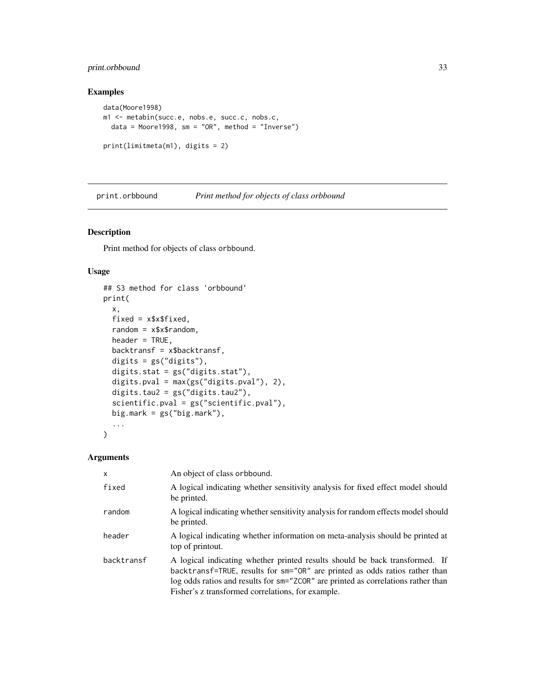# <span id="page-32-0"></span>print.orbbound 33

# Examples

```
data(Moore1998)
m1 <- metabin(succ.e, nobs.e, succ.c, nobs.c,
 data = Moore1998, sm = "OR", method = "Inverse")print(limitmeta(m1), digits = 2)
```
<span id="page-32-1"></span>print.orbbound *Print method for objects of class orbbound*

# Description

Print method for objects of class orbbound.

#### Usage

```
## S3 method for class 'orbbound'
print(
  x,
 fixed = x$x$fixed,
  random = x$x$random,
 header = TRUE,backtransf = x$backtransf,
  digits = gs("digits"),
  digits.stat = gs("digits.stat"),
 digits.pval = max(gs("digits.pval"), 2),
 digits.tau2 = gs("digits.tau2"),
  scientific.pval = gs("scientific.pval"),
 big.mark = gs("big.mark"),
  ...
)
```
#### Arguments

| $\mathsf{x}$ | An object of class orbbound.                                                                                                                                                                                                                                                                         |
|--------------|------------------------------------------------------------------------------------------------------------------------------------------------------------------------------------------------------------------------------------------------------------------------------------------------------|
| fixed        | A logical indicating whether sensitivity analysis for fixed effect model should<br>be printed.                                                                                                                                                                                                       |
| random       | A logical indicating whether sensitivity analysis for random effects model should<br>be printed.                                                                                                                                                                                                     |
| header       | A logical indicating whether information on meta-analysis should be printed at<br>top of printout.                                                                                                                                                                                                   |
| backtransf   | A logical indicating whether printed results should be back transformed. If<br>backtransf=TRUE, results for sm="OR" are printed as odds ratios rather than<br>log odds ratios and results for sm="ZCOR" are printed as correlations rather than<br>Fisher's z transformed correlations, for example. |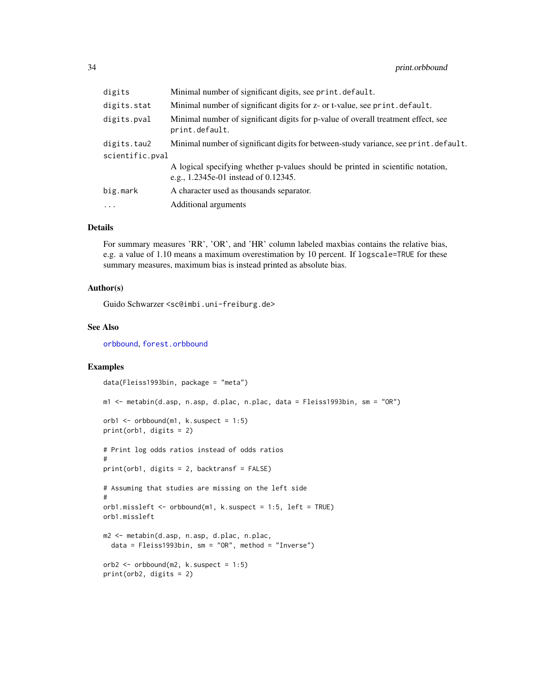<span id="page-33-0"></span>

| digits          | Minimal number of significant digits, see print. default.                                                               |  |
|-----------------|-------------------------------------------------------------------------------------------------------------------------|--|
| digits.stat     | Minimal number of significant digits for z- or t-value, see print. default.                                             |  |
| digits.pval     | Minimal number of significant digits for p-value of overall treatment effect, see<br>print.default.                     |  |
| digits.tau2     | Minimal number of significant digits for between-study variance, see print. default.                                    |  |
| scientific.pval |                                                                                                                         |  |
|                 | A logical specifying whether p-values should be printed in scientific notation,<br>e.g., 1.2345e-01 instead of 0.12345. |  |
| big.mark        | A character used as thousands separator.                                                                                |  |
| $\cdots$        | Additional arguments                                                                                                    |  |

# Details

For summary measures 'RR', 'OR', and 'HR' column labeled maxbias contains the relative bias, e.g. a value of 1.10 means a maximum overestimation by 10 percent. If logscale=TRUE for these summary measures, maximum bias is instead printed as absolute bias.

#### Author(s)

Guido Schwarzer <sc@imbi.uni-freiburg.de>

#### See Also

[orbbound](#page-24-1), [forest.orbbound](#page-11-1)

#### Examples

```
data(Fleiss1993bin, package = "meta")
m1 <- metabin(d.asp, n.asp, d.plac, n.plac, data = Fleiss1993bin, sm = "OR")
orb1 \le orbbound(m1, k.suspect = 1:5)
print(orb1, digits = 2)
# Print log odds ratios instead of odds ratios
#
print(orb1, digits = 2, backtransf = FALSE)
# Assuming that studies are missing on the left side
#
orb1.missleft <- orbbound(m1, k.suspect = 1:5, left = TRUE)
orb1.missleft
m2 <- metabin(d.asp, n.asp, d.plac, n.plac,
  data = Fleiss1993bin, sm = "OR", method = "Inverse")orb2 \leq orbbound(m2, k.suspect = 1:5)
print(orb2, digits = 2)
```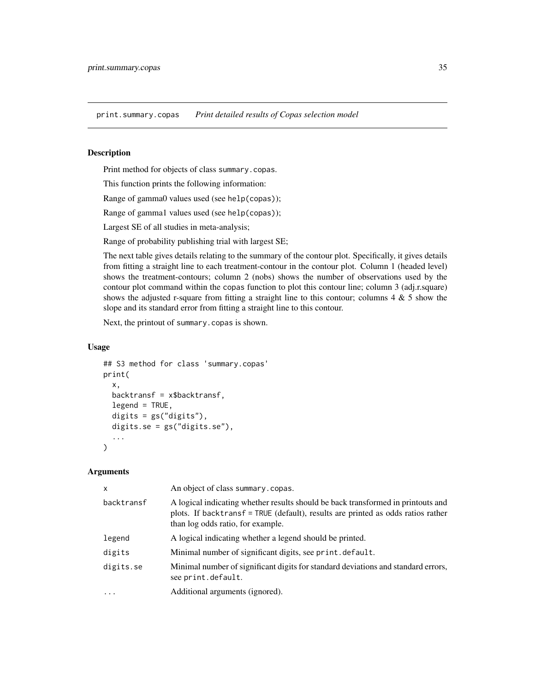<span id="page-34-0"></span>print.summary.copas *Print detailed results of Copas selection model*

# Description

Print method for objects of class summary.copas.

This function prints the following information:

Range of gamma0 values used (see help(copas));

Range of gamma1 values used (see help(copas));

Largest SE of all studies in meta-analysis;

Range of probability publishing trial with largest SE;

The next table gives details relating to the summary of the contour plot. Specifically, it gives details from fitting a straight line to each treatment-contour in the contour plot. Column 1 (headed level) shows the treatment-contours; column 2 (nobs) shows the number of observations used by the contour plot command within the copas function to plot this contour line; column 3 (adj.r.square) shows the adjusted r-square from fitting a straight line to this contour; columns  $4 \& 5$  show the slope and its standard error from fitting a straight line to this contour.

Next, the printout of summary.copas is shown.

#### Usage

```
## S3 method for class 'summary.copas'
print(
  x,
 backtransf = x$backtransf,
  legend = TRUE,digits = gs("digits"),
  digits.se = gs("digits.se"),
  ...
)
```
#### Arguments

| X          | An object of class summary.copas.                                                                                                                                                                         |
|------------|-----------------------------------------------------------------------------------------------------------------------------------------------------------------------------------------------------------|
| backtransf | A logical indicating whether results should be back transformed in printouts and<br>plots. If backtransf = TRUE (default), results are printed as odds ratios rather<br>than log odds ratio, for example. |
| legend     | A logical indicating whether a legend should be printed.                                                                                                                                                  |
| digits     | Minimal number of significant digits, see print. default.                                                                                                                                                 |
| digits.se  | Minimal number of significant digits for standard deviations and standard errors,<br>see print.default.                                                                                                   |
| .          | Additional arguments (ignored).                                                                                                                                                                           |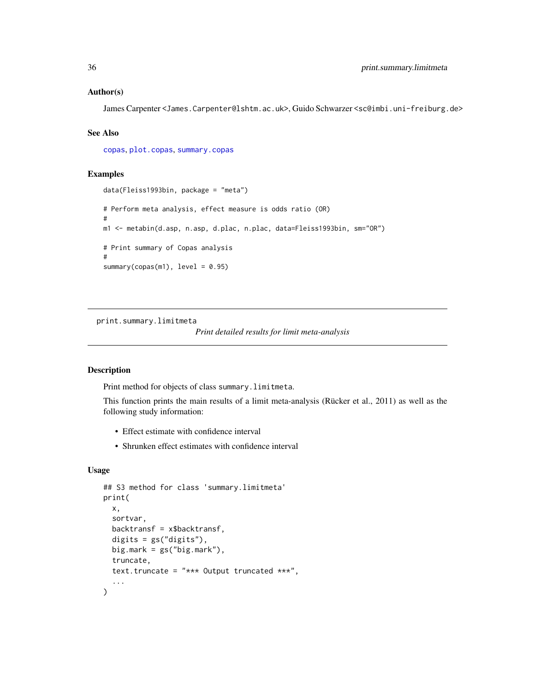#### <span id="page-35-0"></span>Author(s)

James Carpenter <James.Carpenter@lshtm.ac.uk>, Guido Schwarzer <sc@imbi.uni-freiburg.de>

#### See Also

[copas](#page-2-1), [plot.copas](#page-26-1), [summary.copas](#page-36-1)

# Examples

```
data(Fleiss1993bin, package = "meta")
# Perform meta analysis, effect measure is odds ratio (OR)
#
m1 <- metabin(d.asp, n.asp, d.plac, n.plac, data=Fleiss1993bin, sm="OR")
# Print summary of Copas analysis
#
summary(copas(m1), level = 0.95)
```
<span id="page-35-1"></span>print.summary.limitmeta

*Print detailed results for limit meta-analysis*

# Description

Print method for objects of class summary.limitmeta.

This function prints the main results of a limit meta-analysis (Rücker et al., 2011) as well as the following study information:

- Effect estimate with confidence interval
- Shrunken effect estimates with confidence interval

# Usage

```
## S3 method for class 'summary.limitmeta'
print(
  x,
  sortvar,
  backtransf = x$backtransf,
  digits = gs("digits").
 big.mark = gs("big.maxk"),
  truncate,
  text.truncate = "*** Output truncated ***",
  ...
)
```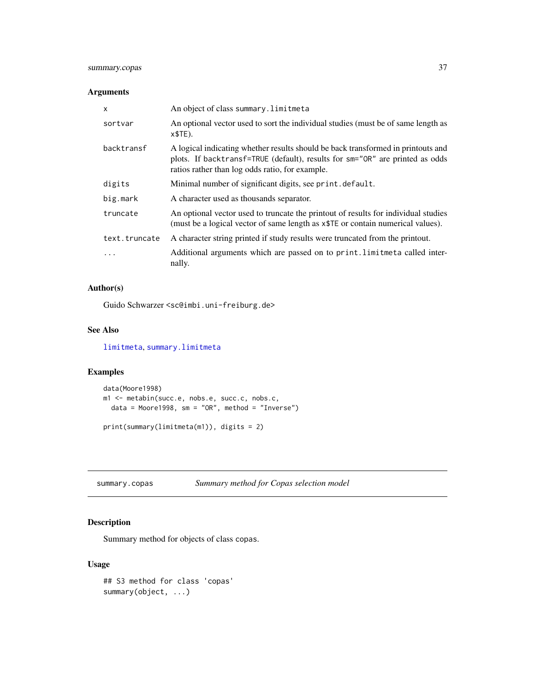# <span id="page-36-0"></span>summary.copas 37

#### Arguments

| X             | An object of class summary. limitmeta                                                                                                                                                                               |
|---------------|---------------------------------------------------------------------------------------------------------------------------------------------------------------------------------------------------------------------|
| sortvar       | An optional vector used to sort the individual studies (must be of same length as<br>$x$TE$ ).                                                                                                                      |
| backtransf    | A logical indicating whether results should be back transformed in printouts and<br>plots. If backtransf=TRUE (default), results for sm="OR" are printed as odds<br>ratios rather than log odds ratio, for example. |
| digits        | Minimal number of significant digits, see print. default.                                                                                                                                                           |
| big.mark      | A character used as thousands separator.                                                                                                                                                                            |
| truncate      | An optional vector used to truncate the printout of results for individual studies<br>(must be a logical vector of same length as $x$ TE or contain numerical values).                                              |
| text.truncate | A character string printed if study results were truncated from the printout.                                                                                                                                       |
| .             | Additional arguments which are passed on to print. limitmeta called inter-<br>nally.                                                                                                                                |

# Author(s)

Guido Schwarzer <sc@imbi.uni-freiburg.de>

# See Also

[limitmeta](#page-17-1), [summary.limitmeta](#page-38-1)

# Examples

```
data(Moore1998)
m1 <- metabin(succ.e, nobs.e, succ.c, nobs.c,
 data = Moore1998, sm = "OR", method = "Inverse")
print(summary(limitmeta(m1)), digits = 2)
```
<span id="page-36-1"></span>summary.copas *Summary method for Copas selection model*

# Description

Summary method for objects of class copas.

# Usage

```
## S3 method for class 'copas'
summary(object, ...)
```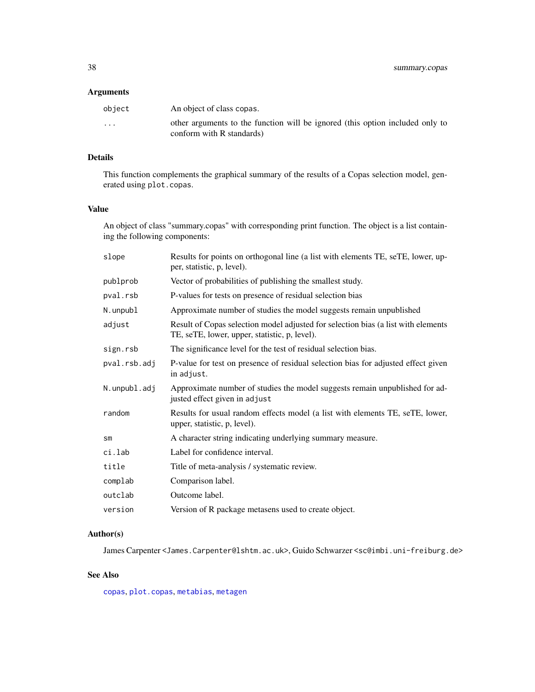#### <span id="page-37-0"></span>Arguments

| object                  | An object of class copas.                                                                                  |
|-------------------------|------------------------------------------------------------------------------------------------------------|
| $\cdot$ $\cdot$ $\cdot$ | other arguments to the function will be ignored (this option included only to<br>conform with R standards) |

# Details

This function complements the graphical summary of the results of a Copas selection model, generated using plot.copas.

# Value

An object of class "summary.copas" with corresponding print function. The object is a list containing the following components:

| slope         | Results for points on orthogonal line (a list with elements TE, seTE, lower, up-<br>per, statistic, p, level).                     |
|---------------|------------------------------------------------------------------------------------------------------------------------------------|
| publprob      | Vector of probabilities of publishing the smallest study.                                                                          |
| pval.rsb      | P-values for tests on presence of residual selection bias                                                                          |
| N.unpubl      | Approximate number of studies the model suggests remain unpublished                                                                |
| adjust        | Result of Copas selection model adjusted for selection bias (a list with elements<br>TE, seTE, lower, upper, statistic, p, level). |
| sign.rsb      | The significance level for the test of residual selection bias.                                                                    |
| pval.rsb.adj  | P-value for test on presence of residual selection bias for adjusted effect given<br>in adjust.                                    |
| N.unpubl.adj  | Approximate number of studies the model suggests remain unpublished for ad-<br>justed effect given in adjust                       |
| random        | Results for usual random effects model (a list with elements TE, seTE, lower,<br>upper, statistic, p, level).                      |
| $\mathsf{sm}$ | A character string indicating underlying summary measure.                                                                          |
| ci.lab        | Label for confidence interval.                                                                                                     |
| title         | Title of meta-analysis / systematic review.                                                                                        |
| complab       | Comparison label.                                                                                                                  |
| outclab       | Outcome label.                                                                                                                     |
| version       | Version of R package metasens used to create object.                                                                               |

# Author(s)

James Carpenter <James.Carpenter@lshtm.ac.uk>, Guido Schwarzer <sc@imbi.uni-freiburg.de>

# See Also

[copas](#page-2-1), [plot.copas](#page-26-1), [metabias](#page-0-0), [metagen](#page-0-0)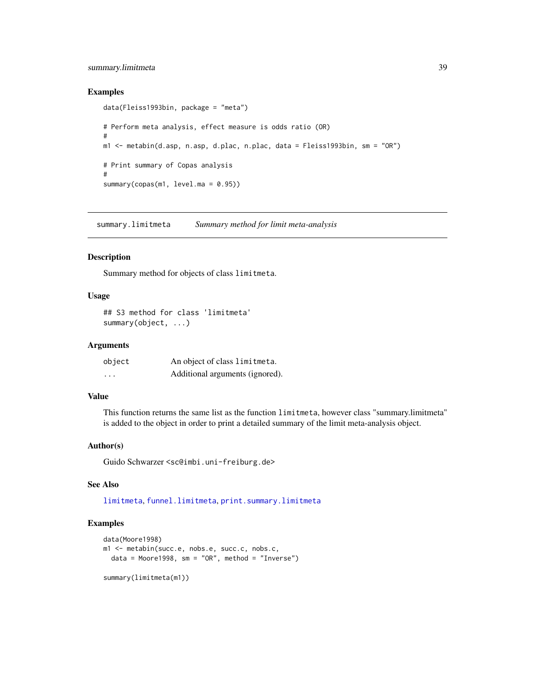# <span id="page-38-0"></span>summary.limitmeta 39

#### Examples

```
data(Fleiss1993bin, package = "meta")
# Perform meta analysis, effect measure is odds ratio (OR)
#
m1 <- metabin(d.asp, n.asp, d.plac, n.plac, data = Fleiss1993bin, sm = "OR")
# Print summary of Copas analysis
#
summary(copas(m1, level.ma = 0.95))
```
<span id="page-38-1"></span>summary.limitmeta *Summary method for limit meta-analysis*

#### Description

Summary method for objects of class limitmeta.

#### Usage

```
## S3 method for class 'limitmeta'
summary(object, ...)
```
#### Arguments

| object   | An object of class limitmeta.   |
|----------|---------------------------------|
| $\cdots$ | Additional arguments (ignored). |

#### Value

This function returns the same list as the function limitmeta, however class "summary.limitmeta" is added to the object in order to print a detailed summary of the limit meta-analysis object.

# Author(s)

Guido Schwarzer <sc@imbi.uni-freiburg.de>

# See Also

[limitmeta](#page-17-1), [funnel.limitmeta](#page-13-1), [print.summary.limitmeta](#page-35-1)

# Examples

```
data(Moore1998)
m1 <- metabin(succ.e, nobs.e, succ.c, nobs.c,
  data = Moore1998, sm = "OR", method = "Inverse")summary(limitmeta(m1))
```